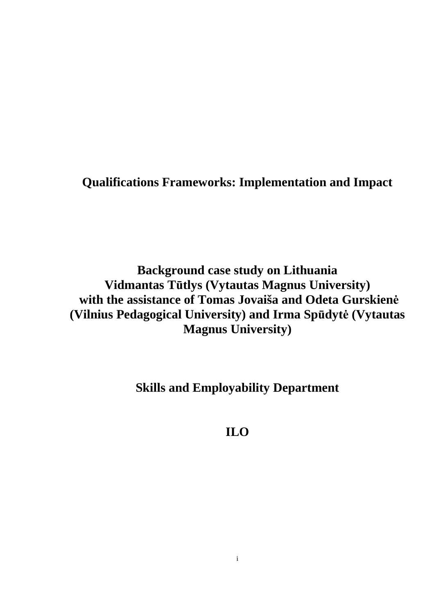**Qualifications Frameworks: Implementation and Impact** 

**Background case study on Lithuania Vidmantas Tūtlys (Vytautas Magnus University) with the assistance of Tomas Jovaiša and Odeta Gurskien÷ (Vilnius Pedagogical University) and Irma Spūdyt÷ (Vytautas Magnus University)** 

**Skills and Employability Department** 

**ILO**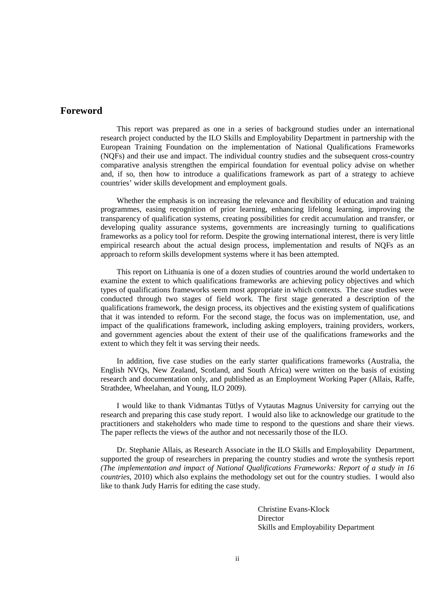# **Foreword**

This report was prepared as one in a series of background studies under an international research project conducted by the ILO Skills and Employability Department in partnership with the European Training Foundation on the implementation of National Qualifications Frameworks (NQFs) and their use and impact. The individual country studies and the subsequent cross-country comparative analysis strengthen the empirical foundation for eventual policy advise on whether and, if so, then how to introduce a qualifications framework as part of a strategy to achieve countries' wider skills development and employment goals.

Whether the emphasis is on increasing the relevance and flexibility of education and training programmes, easing recognition of prior learning, enhancing lifelong learning, improving the transparency of qualification systems, creating possibilities for credit accumulation and transfer, or developing quality assurance systems, governments are increasingly turning to qualifications frameworks as a policy tool for reform. Despite the growing international interest, there is very little empirical research about the actual design process, implementation and results of NQFs as an approach to reform skills development systems where it has been attempted.

This report on Lithuania is one of a dozen studies of countries around the world undertaken to examine the extent to which qualifications frameworks are achieving policy objectives and which types of qualifications frameworks seem most appropriate in which contexts. The case studies were conducted through two stages of field work. The first stage generated a description of the qualifications framework, the design process, its objectives and the existing system of qualifications that it was intended to reform. For the second stage, the focus was on implementation, use, and impact of the qualifications framework, including asking employers, training providers, workers, and government agencies about the extent of their use of the qualifications frameworks and the extent to which they felt it was serving their needs.

In addition, five case studies on the early starter qualifications frameworks (Australia, the English NVQs, New Zealand, Scotland, and South Africa) were written on the basis of existing research and documentation only, and published as an Employment Working Paper (Allais, Raffe, Strathdee, Wheelahan, and Young, ILO 2009).

I would like to thank Vidmantas Tütlys of Vytautas Magnus University for carrying out the research and preparing this case study report. I would also like to acknowledge our gratitude to the practitioners and stakeholders who made time to respond to the questions and share their views. The paper reflects the views of the author and not necessarily those of the ILO.

Dr. Stephanie Allais, as Research Associate in the ILO Skills and Employability Department, supported the group of researchers in preparing the country studies and wrote the synthesis report *(The implementation and impact of National Qualifications Frameworks: Report of a study in 16 countries*, 2010) which also explains the methodology set out for the country studies. I would also like to thank Judy Harris for editing the case study.

> Christine Evans-Klock **Director** Skills and Employability Department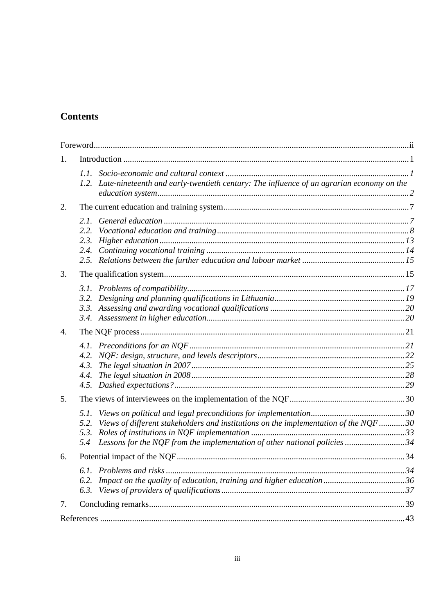# **Contents**

| 1. |                                      |                                                                                                                                                                   |  |
|----|--------------------------------------|-------------------------------------------------------------------------------------------------------------------------------------------------------------------|--|
|    | 1.1.<br>1.2.                         | Late-nineteenth and early-twentieth century: The influence of an agrarian economy on the                                                                          |  |
| 2. |                                      |                                                                                                                                                                   |  |
|    | 2.1.<br>2.2.<br>2.3.<br>2.4.<br>2.5. |                                                                                                                                                                   |  |
| 3. |                                      |                                                                                                                                                                   |  |
|    | 3.1.<br>3.2.<br>3.3.<br>3.4.         |                                                                                                                                                                   |  |
| 4. |                                      |                                                                                                                                                                   |  |
|    | 4.1.<br>4.2.<br>4.3.<br>4.4.<br>4.5. |                                                                                                                                                                   |  |
| 5. |                                      |                                                                                                                                                                   |  |
|    | 5.1.<br>5.2.<br>5.3.<br>5.4          | Views of different stakeholders and institutions on the implementation of the NQF 30<br>Lessons for the NQF from the implementation of other national policies 34 |  |
| 6. |                                      |                                                                                                                                                                   |  |
|    | 6.2.<br>6.3.                         |                                                                                                                                                                   |  |
| 7. |                                      |                                                                                                                                                                   |  |
|    |                                      |                                                                                                                                                                   |  |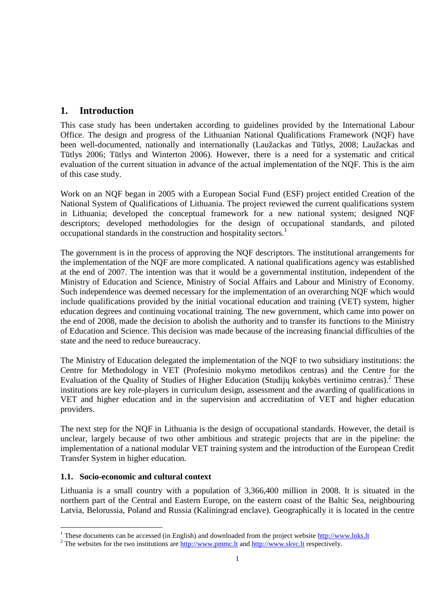# **1. Introduction**

This case study has been undertaken according to guidelines provided by the International Labour Office. The design and progress of the Lithuanian National Qualifications Framework (NQF) have been well-documented, nationally and internationally (Laužackas and Tūtlys, 2008; Laužackas and Tūtlys 2006; Tūtlys and Winterton 2006). However, there is a need for a systematic and critical evaluation of the current situation in advance of the actual implementation of the NQF. This is the aim of this case study.

Work on an NQF began in 2005 with a European Social Fund (ESF) project entitled Creation of the National System of Qualifications of Lithuania. The project reviewed the current qualifications system in Lithuania; developed the conceptual framework for a new national system; designed NQF descriptors; developed methodologies for the design of occupational standards, and piloted occupational standards in the construction and hospitality sectors.<sup>1</sup>

The government is in the process of approving the NQF descriptors. The institutional arrangements for the implementation of the NQF are more complicated. A national qualifications agency was established at the end of 2007. The intention was that it would be a governmental institution, independent of the Ministry of Education and Science, Ministry of Social Affairs and Labour and Ministry of Economy. Such independence was deemed necessary for the implementation of an overarching NQF which would include qualifications provided by the initial vocational education and training (VET) system, higher education degrees and continuing vocational training. The new government, which came into power on the end of 2008, made the decision to abolish the authority and to transfer its functions to the Ministry of Education and Science. This decision was made because of the increasing financial difficulties of the state and the need to reduce bureaucracy.

The Ministry of Education delegated the implementation of the NQF to two subsidiary institutions: the Centre for Methodology in VET (Profesinio mokymo metodikos centras) and the Centre for the Evaluation of the Quality of Studies of Higher Education (Studijų kokybės vertinimo centras).<sup>2</sup> These institutions are key role-players in curriculum design, assessment and the awarding of qualifications in VET and higher education and in the supervision and accreditation of VET and higher education providers.

The next step for the NQF in Lithuania is the design of occupational standards. However, the detail is unclear, largely because of two other ambitious and strategic projects that are in the pipeline: the implementation of a national modular VET training system and the introduction of the European Credit Transfer System in higher education.

# **1.1. Socio-economic and cultural context**

Lithuania is a small country with a population of 3,366,400 million in 2008. It is situated in the northern part of the Central and Eastern Europe, on the eastern coast of the Baltic Sea, neighbouring Latvia, Belorussia, Poland and Russia (Kaliningrad enclave). Geographically it is located in the centre

<sup>-</sup><sup>1</sup> These documents can be accessed (in English) and downloaded from the project website  $\frac{http://www.lnks.lt}{http://www.lnks.lt}$ 

<sup>&</sup>lt;sup>2</sup> The websites for the two institutions are  $\frac{http://www.pmmc.lt}{http://www.pmmc.lt}$  and  $\frac{http://www.skvc.lt}{http://www.skvc.lt}$  respectively.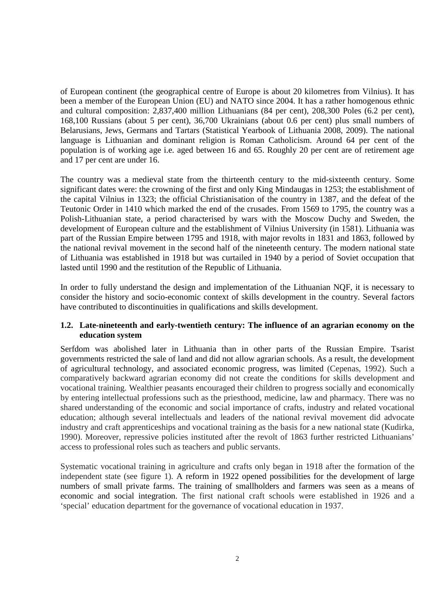of European continent (the geographical centre of Europe is about 20 kilometres from Vilnius). It has been a member of the European Union (EU) and NATO since 2004. It has a rather homogenous ethnic and cultural composition: 2,837,400 million Lithuanians (84 per cent), 208,300 Poles (6.2 per cent), 168,100 Russians (about 5 per cent), 36,700 Ukrainians (about 0.6 per cent) plus small numbers of Belarusians, Jews, Germans and Tartars (Statistical Yearbook of Lithuania 2008, 2009). The national language is Lithuanian and dominant religion is Roman Catholicism. Around 64 per cent of the population is of working age i.e. aged between 16 and 65. Roughly 20 per cent are of retirement age and 17 per cent are under 16.

The country was a medieval state from the thirteenth century to the mid-sixteenth century. Some significant dates were: the crowning of the first and only King Mindaugas in 1253; the establishment of the capital Vilnius in 1323; the official Christianisation of the country in 1387, and the defeat of the Teutonic Order in 1410 which marked the end of the crusades. From 1569 to 1795, the country was a Polish-Lithuanian state, a period characterised by wars with the Moscow Duchy and Sweden, the development of European culture and the establishment of Vilnius University (in 1581). Lithuania was part of the Russian Empire between 1795 and 1918, with major revolts in 1831 and 1863, followed by the national revival movement in the second half of the nineteenth century. The modern national state of Lithuania was established in 1918 but was curtailed in 1940 by a period of Soviet occupation that lasted until 1990 and the restitution of the Republic of Lithuania.

In order to fully understand the design and implementation of the Lithuanian NQF, it is necessary to consider the history and socio-economic context of skills development in the country. Several factors have contributed to discontinuities in qualifications and skills development.

### **1.2. Late-nineteenth and early-twentieth century: The influence of an agrarian economy on the education system**

Serfdom was abolished later in Lithuania than in other parts of the Russian Empire. Tsarist governments restricted the sale of land and did not allow agrarian schools. As a result, the development of agricultural technology, and associated economic progress, was limited (Cepenas, 1992). Such a comparatively backward agrarian economy did not create the conditions for skills development and vocational training. Wealthier peasants encouraged their children to progress socially and economically by entering intellectual professions such as the priesthood, medicine, law and pharmacy. There was no shared understanding of the economic and social importance of crafts, industry and related vocational education; although several intellectuals and leaders of the national revival movement did advocate industry and craft apprenticeships and vocational training as the basis for a new national state (Kudirka, 1990). Moreover, repressive policies instituted after the revolt of 1863 further restricted Lithuanians' access to professional roles such as teachers and public servants.

Systematic vocational training in agriculture and crafts only began in 1918 after the formation of the independent state (see figure 1). A reform in 1922 opened possibilities for the development of large numbers of small private farms. The training of smallholders and farmers was seen as a means of economic and social integration. The first national craft schools were established in 1926 and a 'special' education department for the governance of vocational education in 1937.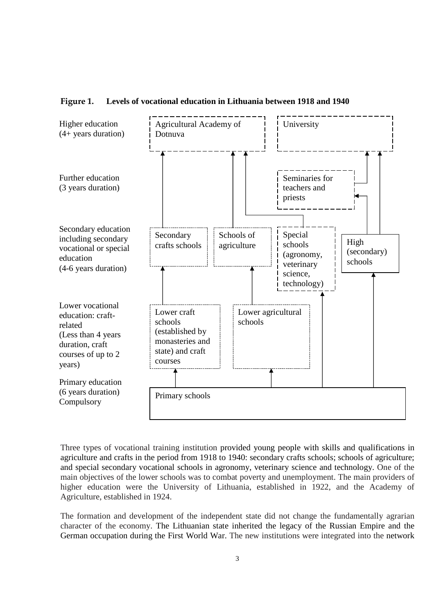

**Figure 1. Levels of vocational education in Lithuania between 1918 and 1940** 

Three types of vocational training institution provided young people with skills and qualifications in agriculture and crafts in the period from 1918 to 1940: secondary crafts schools; schools of agriculture; and special secondary vocational schools in agronomy, veterinary science and technology. One of the main objectives of the lower schools was to combat poverty and unemployment. The main providers of higher education were the University of Lithuania, established in 1922, and the Academy of Agriculture, established in 1924.

The formation and development of the independent state did not change the fundamentally agrarian character of the economy. The Lithuanian state inherited the legacy of the Russian Empire and the German occupation during the First World War. The new institutions were integrated into the network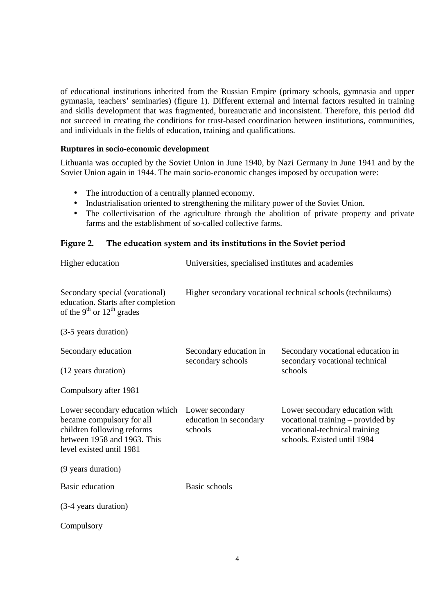of educational institutions inherited from the Russian Empire (primary schools, gymnasia and upper gymnasia, teachers' seminaries) (figure 1). Different external and internal factors resulted in training and skills development that was fragmented, bureaucratic and inconsistent. Therefore, this period did not succeed in creating the conditions for trust-based coordination between institutions, communities, and individuals in the fields of education, training and qualifications.

#### **Ruptures in socio-economic development**

Lithuania was occupied by the Soviet Union in June 1940, by Nazi Germany in June 1941 and by the Soviet Union again in 1944. The main socio-economic changes imposed by occupation were:

- The introduction of a centrally planned economy.
- Industrialisation oriented to strengthening the military power of the Soviet Union.
- The collectivisation of the agriculture through the abolition of private property and private farms and the establishment of so-called collective farms.

# **Figure 2. The education system and its institutions in the Soviet period**

| Higher education                                                                                                                                      | Universities, specialised institutes and academies         |                                                                                                                                     |  |
|-------------------------------------------------------------------------------------------------------------------------------------------------------|------------------------------------------------------------|-------------------------------------------------------------------------------------------------------------------------------------|--|
| Secondary special (vocational)<br>education. Starts after completion<br>of the 9 <sup>th</sup> or $12th$ grades                                       | Higher secondary vocational technical schools (technikums) |                                                                                                                                     |  |
| (3-5 years duration)                                                                                                                                  |                                                            |                                                                                                                                     |  |
| Secondary education                                                                                                                                   | Secondary education in                                     | Secondary vocational education in                                                                                                   |  |
| (12 years duration)                                                                                                                                   | secondary schools                                          | secondary vocational technical<br>schools                                                                                           |  |
| Compulsory after 1981                                                                                                                                 |                                                            |                                                                                                                                     |  |
| Lower secondary education which<br>became compulsory for all<br>children following reforms<br>between 1958 and 1963. This<br>level existed until 1981 | Lower secondary<br>education in secondary<br>schools       | Lower secondary education with<br>vocational training – provided by<br>vocational-technical training<br>schools. Existed until 1984 |  |
| (9 years duration)                                                                                                                                    |                                                            |                                                                                                                                     |  |
| Basic education                                                                                                                                       | Basic schools                                              |                                                                                                                                     |  |
| (3-4 years duration)                                                                                                                                  |                                                            |                                                                                                                                     |  |
| Compulsory                                                                                                                                            |                                                            |                                                                                                                                     |  |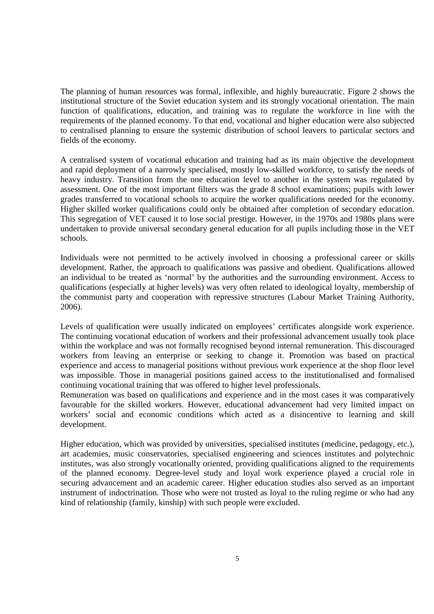The planning of human resources was formal, inflexible, and highly bureaucratic. Figure 2 shows the institutional structure of the Soviet education system and its strongly vocational orientation. The main function of qualifications, education, and training was to regulate the workforce in line with the requirements of the planned economy. To that end, vocational and higher education were also subjected to centralised planning to ensure the systemic distribution of school leavers to particular sectors and fields of the economy.

A centralised system of vocational education and training had as its main objective the development and rapid deployment of a narrowly specialised, mostly low-skilled workforce, to satisfy the needs of heavy industry. Transition from the one education level to another in the system was regulated by assessment. One of the most important filters was the grade 8 school examinations; pupils with lower grades transferred to vocational schools to acquire the worker qualifications needed for the economy. Higher skilled worker qualifications could only be obtained after completion of secondary education. This segregation of VET caused it to lose social prestige. However, in the 1970s and 1980s plans were undertaken to provide universal secondary general education for all pupils including those in the VET schools.

Individuals were not permitted to be actively involved in choosing a professional career or skills development. Rather, the approach to qualifications was passive and obedient. Qualifications allowed an individual to be treated as 'normal' by the authorities and the surrounding environment. Access to qualifications (especially at higher levels) was very often related to ideological loyalty, membership of the communist party and cooperation with repressive structures (Labour Market Training Authority, 2006).

Levels of qualification were usually indicated on employees' certificates alongside work experience. The continuing vocational education of workers and their professional advancement usually took place within the workplace and was not formally recognised beyond internal remuneration. This discouraged workers from leaving an enterprise or seeking to change it. Promotion was based on practical experience and access to managerial positions without previous work experience at the shop floor level was impossible. Those in managerial positions gained access to the institutionalised and formalised continuing vocational training that was offered to higher level professionals.

Remuneration was based on qualifications and experience and in the most cases it was comparatively favourable for the skilled workers. However, educational advancement had very limited impact on workers' social and economic conditions which acted as a disincentive to learning and skill development.

Higher education, which was provided by universities, specialised institutes (medicine, pedagogy, etc.), art academies, music conservatories, specialised engineering and sciences institutes and polytechnic institutes, was also strongly vocationally oriented, providing qualifications aligned to the requirements of the planned economy. Degree-level study and loyal work experience played a crucial role in securing advancement and an academic career. Higher education studies also served as an important instrument of indoctrination. Those who were not trusted as loyal to the ruling regime or who had any kind of relationship (family, kinship) with such people were excluded.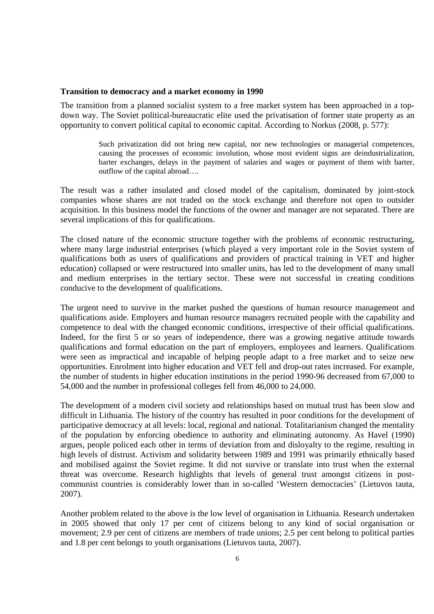#### **Transition to democracy and a market economy in 1990**

The transition from a planned socialist system to a free market system has been approached in a topdown way. The Soviet political-bureaucratic elite used the privatisation of former state property as an opportunity to convert political capital to economic capital. According to Norkus (2008, p. 577):

> Such privatization did not bring new capital, nor new technologies or managerial competences, causing the processes of economic involution, whose most evident signs are deindustrialization, barter exchanges, delays in the payment of salaries and wages or payment of them with barter, outflow of the capital abroad….

The result was a rather insulated and closed model of the capitalism, dominated by joint-stock companies whose shares are not traded on the stock exchange and therefore not open to outsider acquisition. In this business model the functions of the owner and manager are not separated. There are several implications of this for qualifications.

The closed nature of the economic structure together with the problems of economic restructuring, where many large industrial enterprises (which played a very important role in the Soviet system of qualifications both as users of qualifications and providers of practical training in VET and higher education) collapsed or were restructured into smaller units, has led to the development of many small and medium enterprises in the tertiary sector. These were not successful in creating conditions conducive to the development of qualifications.

The urgent need to survive in the market pushed the questions of human resource management and qualifications aside. Employers and human resource managers recruited people with the capability and competence to deal with the changed economic conditions, irrespective of their official qualifications. Indeed, for the first 5 or so years of independence, there was a growing negative attitude towards qualifications and formal education on the part of employers, employees and learners. Qualifications were seen as impractical and incapable of helping people adapt to a free market and to seize new opportunities. Enrolment into higher education and VET fell and drop-out rates increased. For example, the number of students in higher education institutions in the period 1990-96 decreased from 67,000 to 54,000 and the number in professional colleges fell from 46,000 to 24,000.

The development of a modern civil society and relationships based on mutual trust has been slow and difficult in Lithuania. The history of the country has resulted in poor conditions for the development of participative democracy at all levels: local, regional and national. Totalitarianism changed the mentality of the population by enforcing obedience to authority and eliminating autonomy. As Havel (1990) argues, people policed each other in terms of deviation from and disloyalty to the regime, resulting in high levels of distrust. Activism and solidarity between 1989 and 1991 was primarily ethnically based and mobilised against the Soviet regime. It did not survive or translate into trust when the external threat was overcome. Research highlights that levels of general trust amongst citizens in postcommunist countries is considerably lower than in so-called 'Western democracies' (Lietuvos tauta, 2007).

Another problem related to the above is the low level of organisation in Lithuania. Research undertaken in 2005 showed that only 17 per cent of citizens belong to any kind of social organisation or movement; 2.9 per cent of citizens are members of trade unions; 2.5 per cent belong to political parties and 1.8 per cent belongs to youth organisations (Lietuvos tauta, 2007).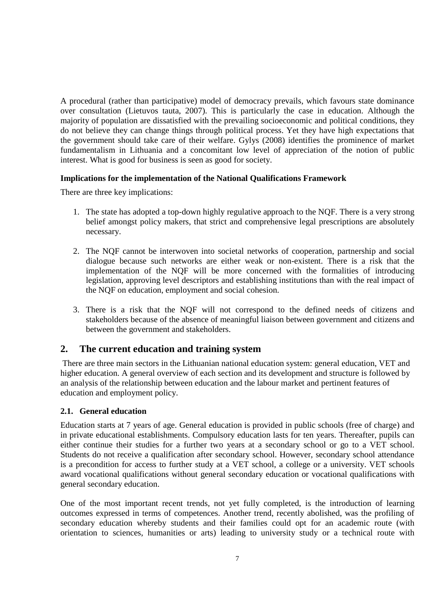A procedural (rather than participative) model of democracy prevails, which favours state dominance over consultation (Lietuvos tauta, 2007). This is particularly the case in education. Although the majority of population are dissatisfied with the prevailing socioeconomic and political conditions, they do not believe they can change things through political process. Yet they have high expectations that the government should take care of their welfare. Gylys (2008) identifies the prominence of market fundamentalism in Lithuania and a concomitant low level of appreciation of the notion of public interest. What is good for business is seen as good for society.

### **Implications for the implementation of the National Qualifications Framework**

There are three key implications:

- 1. The state has adopted a top-down highly regulative approach to the NQF. There is a very strong belief amongst policy makers, that strict and comprehensive legal prescriptions are absolutely necessary.
- 2. The NQF cannot be interwoven into societal networks of cooperation, partnership and social dialogue because such networks are either weak or non-existent. There is a risk that the implementation of the NQF will be more concerned with the formalities of introducing legislation, approving level descriptors and establishing institutions than with the real impact of the NQF on education, employment and social cohesion.
- 3. There is a risk that the NQF will not correspond to the defined needs of citizens and stakeholders because of the absence of meaningful liaison between government and citizens and between the government and stakeholders.

# **2. The current education and training system**

 There are three main sectors in the Lithuanian national education system: general education, VET and higher education. A general overview of each section and its development and structure is followed by an analysis of the relationship between education and the labour market and pertinent features of education and employment policy.

# **2.1. General education**

Education starts at 7 years of age. General education is provided in public schools (free of charge) and in private educational establishments. Compulsory education lasts for ten years. Thereafter, pupils can either continue their studies for a further two years at a secondary school or go to a VET school. Students do not receive a qualification after secondary school. However, secondary school attendance is a precondition for access to further study at a VET school, a college or a university. VET schools award vocational qualifications without general secondary education or vocational qualifications with general secondary education.

One of the most important recent trends, not yet fully completed, is the introduction of learning outcomes expressed in terms of competences. Another trend, recently abolished, was the profiling of secondary education whereby students and their families could opt for an academic route (with orientation to sciences, humanities or arts) leading to university study or a technical route with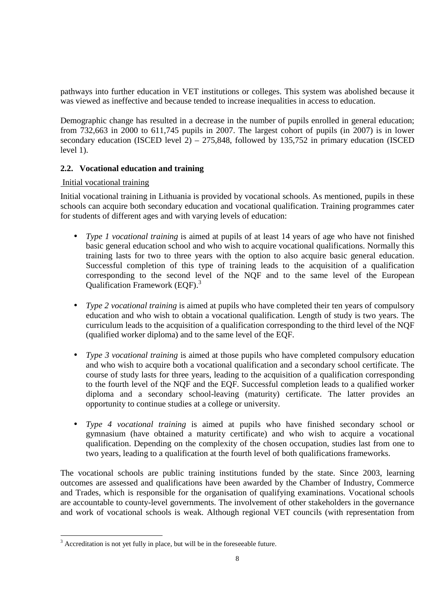pathways into further education in VET institutions or colleges. This system was abolished because it was viewed as ineffective and because tended to increase inequalities in access to education.

Demographic change has resulted in a decrease in the number of pupils enrolled in general education; from 732,663 in 2000 to 611,745 pupils in 2007. The largest cohort of pupils (in 2007) is in lower secondary education (ISCED level  $2)$  – 275,848, followed by 135,752 in primary education (ISCED level 1).

# **2.2. Vocational education and training**

# Initial vocational training

Initial vocational training in Lithuania is provided by vocational schools. As mentioned, pupils in these schools can acquire both secondary education and vocational qualification. Training programmes cater for students of different ages and with varying levels of education:

- *Type 1 vocational training* is aimed at pupils of at least 14 years of age who have not finished basic general education school and who wish to acquire vocational qualifications. Normally this training lasts for two to three years with the option to also acquire basic general education. Successful completion of this type of training leads to the acquisition of a qualification corresponding to the second level of the NQF and to the same level of the European Qualification Framework (EQF).<sup>3</sup>
- *Type 2 vocational training* is aimed at pupils who have completed their ten years of compulsory education and who wish to obtain a vocational qualification. Length of study is two years. The curriculum leads to the acquisition of a qualification corresponding to the third level of the NQF (qualified worker diploma) and to the same level of the EQF.
- *Type 3 vocational training* is aimed at those pupils who have completed compulsory education and who wish to acquire both a vocational qualification and a secondary school certificate. The course of study lasts for three years, leading to the acquisition of a qualification corresponding to the fourth level of the NQF and the EQF. Successful completion leads to a qualified worker diploma and a secondary school-leaving (maturity) certificate. The latter provides an opportunity to continue studies at a college or university.
- *Type 4 vocational training* is aimed at pupils who have finished secondary school or gymnasium (have obtained a maturity certificate) and who wish to acquire a vocational qualification. Depending on the complexity of the chosen occupation, studies last from one to two years, leading to a qualification at the fourth level of both qualifications frameworks.

The vocational schools are public training institutions funded by the state. Since 2003, learning outcomes are assessed and qualifications have been awarded by the Chamber of Industry, Commerce and Trades, which is responsible for the organisation of qualifying examinations. Vocational schools are accountable to county-level governments. The involvement of other stakeholders in the governance and work of vocational schools is weak. Although regional VET councils (with representation from

<sup>&</sup>lt;sup>3</sup> Accreditation is not yet fully in place, but will be in the foreseeable future.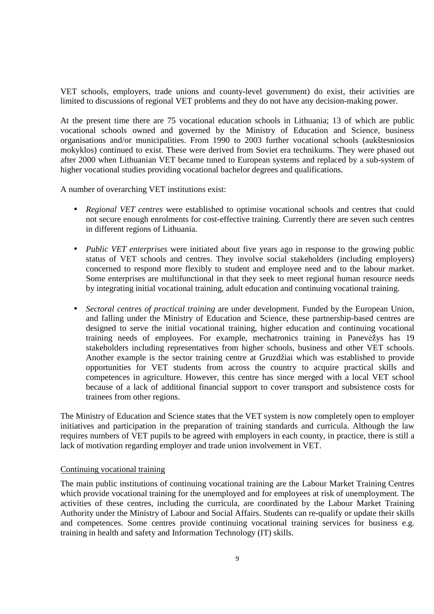VET schools, employers, trade unions and county-level government) do exist, their activities are limited to discussions of regional VET problems and they do not have any decision-making power.

At the present time there are 75 vocational education schools in Lithuania; 13 of which are public vocational schools owned and governed by the Ministry of Education and Science, business organisations and/or municipalities. From 1990 to 2003 further vocational schools (aukštesniosios mokyklos) continued to exist. These were derived from Soviet era technikums. They were phased out after 2000 when Lithuanian VET became tuned to European systems and replaced by a sub-system of higher vocational studies providing vocational bachelor degrees and qualifications.

A number of overarching VET institutions exist:

- *Regional VET centres* were established to optimise vocational schools and centres that could not secure enough enrolments for cost-effective training. Currently there are seven such centres in different regions of Lithuania.
- *Public VET enterprises* were initiated about five years ago in response to the growing public status of VET schools and centres. They involve social stakeholders (including employers) concerned to respond more flexibly to student and employee need and to the labour market. Some enterprises are multifunctional in that they seek to meet regional human resource needs by integrating initial vocational training, adult education and continuing vocational training.
- *Sectoral centres of practical training* are under development. Funded by the European Union, and falling under the Ministry of Education and Science, these partnership-based centres are designed to serve the initial vocational training, higher education and continuing vocational training needs of employees. For example, mechatronics training in Panevėžys has 19 stakeholders including representatives from higher schools, business and other VET schools. Another example is the sector training centre at Gruzdžiai which was established to provide opportunities for VET students from across the country to acquire practical skills and competences in agriculture. However, this centre has since merged with a local VET school because of a lack of additional financial support to cover transport and subsistence costs for trainees from other regions.

The Ministry of Education and Science states that the VET system is now completely open to employer initiatives and participation in the preparation of training standards and curricula. Although the law requires numbers of VET pupils to be agreed with employers in each county, in practice, there is still a lack of motivation regarding employer and trade union involvement in VET.

#### Continuing vocational training

The main public institutions of continuing vocational training are the Labour Market Training Centres which provide vocational training for the unemployed and for employees at risk of unemployment. The activities of these centres, including the curricula, are coordinated by the Labour Market Training Authority under the Ministry of Labour and Social Affairs. Students can re-qualify or update their skills and competences. Some centres provide continuing vocational training services for business e.g. training in health and safety and Information Technology (IT) skills.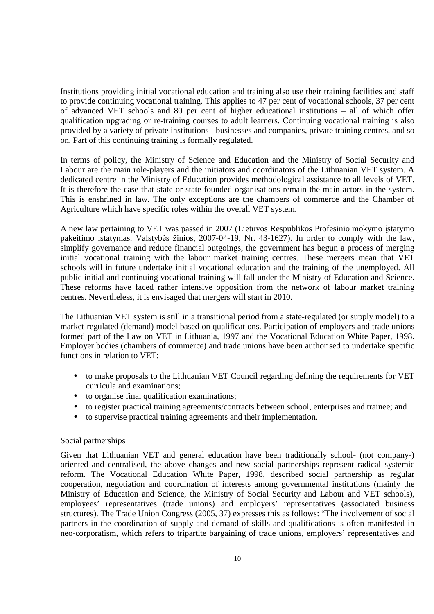Institutions providing initial vocational education and training also use their training facilities and staff to provide continuing vocational training. This applies to 47 per cent of vocational schools, 37 per cent of advanced VET schools and 80 per cent of higher educational institutions – all of which offer qualification upgrading or re-training courses to adult learners. Continuing vocational training is also provided by a variety of private institutions - businesses and companies, private training centres, and so on. Part of this continuing training is formally regulated.

In terms of policy, the Ministry of Science and Education and the Ministry of Social Security and Labour are the main role-players and the initiators and coordinators of the Lithuanian VET system. A dedicated centre in the Ministry of Education provides methodological assistance to all levels of VET. It is therefore the case that state or state-founded organisations remain the main actors in the system. This is enshrined in law. The only exceptions are the chambers of commerce and the Chamber of Agriculture which have specific roles within the overall VET system.

A new law pertaining to VET was passed in 2007 (Lietuvos Respublikos Profesinio mokymo įstatymo pakeitimo įstatymas. Valstybės žinios, 2007-04-19, Nr. 43-1627). In order to comply with the law, simplify governance and reduce financial outgoings, the government has begun a process of merging initial vocational training with the labour market training centres. These mergers mean that VET schools will in future undertake initial vocational education and the training of the unemployed. All public initial and continuing vocational training will fall under the Ministry of Education and Science. These reforms have faced rather intensive opposition from the network of labour market training centres. Nevertheless, it is envisaged that mergers will start in 2010.

The Lithuanian VET system is still in a transitional period from a state-regulated (or supply model) to a market-regulated (demand) model based on qualifications. Participation of employers and trade unions formed part of the Law on VET in Lithuania, 1997 and the Vocational Education White Paper, 1998. Employer bodies (chambers of commerce) and trade unions have been authorised to undertake specific functions in relation to VET:

- to make proposals to the Lithuanian VET Council regarding defining the requirements for VET curricula and examinations;
- to organise final qualification examinations;
- to register practical training agreements/contracts between school, enterprises and trainee; and
- to supervise practical training agreements and their implementation.

#### Social partnerships

Given that Lithuanian VET and general education have been traditionally school- (not company-) oriented and centralised, the above changes and new social partnerships represent radical systemic reform. The Vocational Education White Paper, 1998, described social partnership as regular cooperation, negotiation and coordination of interests among governmental institutions (mainly the Ministry of Education and Science, the Ministry of Social Security and Labour and VET schools), employees' representatives (trade unions) and employers' representatives (associated business structures). The Trade Union Congress (2005, 37) expresses this as follows: "The involvement of social partners in the coordination of supply and demand of skills and qualifications is often manifested in neo-corporatism, which refers to tripartite bargaining of trade unions, employers' representatives and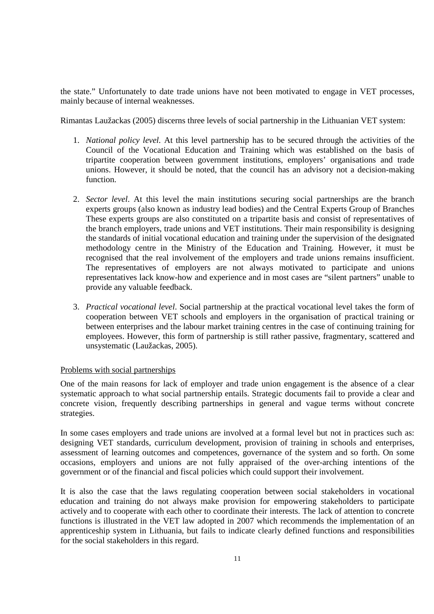the state." Unfortunately to date trade unions have not been motivated to engage in VET processes, mainly because of internal weaknesses.

Rimantas Laužackas (2005) discerns three levels of social partnership in the Lithuanian VET system:

- 1. *National policy level.* At this level partnership has to be secured through the activities of the Council of the Vocational Education and Training which was established on the basis of tripartite cooperation between government institutions, employers' organisations and trade unions. However, it should be noted, that the council has an advisory not a decision-making function.
- 2. *Sector level*. At this level the main institutions securing social partnerships are the branch experts groups (also known as industry lead bodies) and the Central Experts Group of Branches These experts groups are also constituted on a tripartite basis and consist of representatives of the branch employers, trade unions and VET institutions. Their main responsibility is designing the standards of initial vocational education and training under the supervision of the designated methodology centre in the Ministry of the Education and Training. However, it must be recognised that the real involvement of the employers and trade unions remains insufficient. The representatives of employers are not always motivated to participate and unions representatives lack know-how and experience and in most cases are "silent partners" unable to provide any valuable feedback.
- 3. *Practical vocational level*. Social partnership at the practical vocational level takes the form of cooperation between VET schools and employers in the organisation of practical training or between enterprises and the labour market training centres in the case of continuing training for employees. However, this form of partnership is still rather passive, fragmentary, scattered and unsystematic (Laužackas, 2005).

#### Problems with social partnerships

One of the main reasons for lack of employer and trade union engagement is the absence of a clear systematic approach to what social partnership entails. Strategic documents fail to provide a clear and concrete vision, frequently describing partnerships in general and vague terms without concrete strategies.

In some cases employers and trade unions are involved at a formal level but not in practices such as: designing VET standards, curriculum development, provision of training in schools and enterprises, assessment of learning outcomes and competences, governance of the system and so forth. On some occasions, employers and unions are not fully appraised of the over-arching intentions of the government or of the financial and fiscal policies which could support their involvement.

It is also the case that the laws regulating cooperation between social stakeholders in vocational education and training do not always make provision for empowering stakeholders to participate actively and to cooperate with each other to coordinate their interests. The lack of attention to concrete functions is illustrated in the VET law adopted in 2007 which recommends the implementation of an apprenticeship system in Lithuania, but fails to indicate clearly defined functions and responsibilities for the social stakeholders in this regard.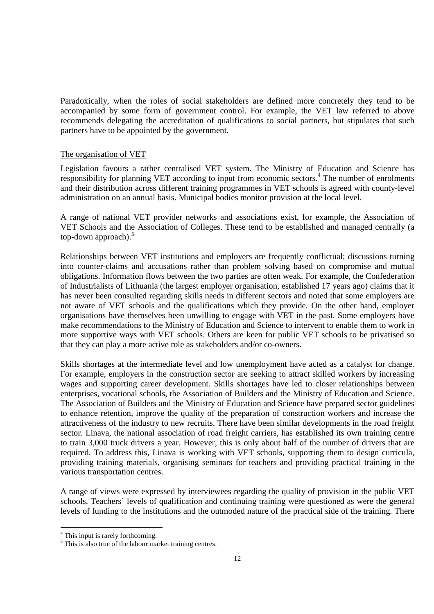Paradoxically, when the roles of social stakeholders are defined more concretely they tend to be accompanied by some form of government control. For example, the VET law referred to above recommends delegating the accreditation of qualifications to social partners, but stipulates that such partners have to be appointed by the government.

#### The organisation of VET

Legislation favours a rather centralised VET system. The Ministry of Education and Science has responsibility for planning VET according to input from economic sectors.<sup>4</sup> The number of enrolments and their distribution across different training programmes in VET schools is agreed with county-level administration on an annual basis. Municipal bodies monitor provision at the local level.

A range of national VET provider networks and associations exist, for example, the Association of VET Schools and the Association of Colleges. These tend to be established and managed centrally (a top-down approach).<sup>5</sup>

Relationships between VET institutions and employers are frequently conflictual; discussions turning into counter-claims and accusations rather than problem solving based on compromise and mutual obligations. Information flows between the two parties are often weak. For example, the Confederation of Industrialists of Lithuania (the largest employer organisation, established 17 years ago) claims that it has never been consulted regarding skills needs in different sectors and noted that some employers are not aware of VET schools and the qualifications which they provide. On the other hand, employer organisations have themselves been unwilling to engage with VET in the past. Some employers have make recommendations to the Ministry of Education and Science to intervent to enable them to work in more supportive ways with VET schools. Others are keen for public VET schools to be privatised so that they can play a more active role as stakeholders and/or co-owners.

Skills shortages at the intermediate level and low unemployment have acted as a catalyst for change. For example, employers in the construction sector are seeking to attract skilled workers by increasing wages and supporting career development. Skills shortages have led to closer relationships between enterprises, vocational schools, the Association of Builders and the Ministry of Education and Science. The Association of Builders and the Ministry of Education and Science have prepared sector guidelines to enhance retention, improve the quality of the preparation of construction workers and increase the attractiveness of the industry to new recruits. There have been similar developments in the road freight sector. Linava, the national association of road freight carriers, has established its own training centre to train 3,000 truck drivers a year. However, this is only about half of the number of drivers that are required. To address this, Linava is working with VET schools, supporting them to design curricula, providing training materials, organising seminars for teachers and providing practical training in the various transportation centres.

A range of views were expressed by interviewees regarding the quality of provision in the public VET schools. Teachers' levels of qualification and continuing training were questioned as were the general levels of funding to the institutions and the outmoded nature of the practical side of the training. There

 4 This input is rarely forthcoming.

<sup>&</sup>lt;sup>5</sup> This is also true of the labour market training centres.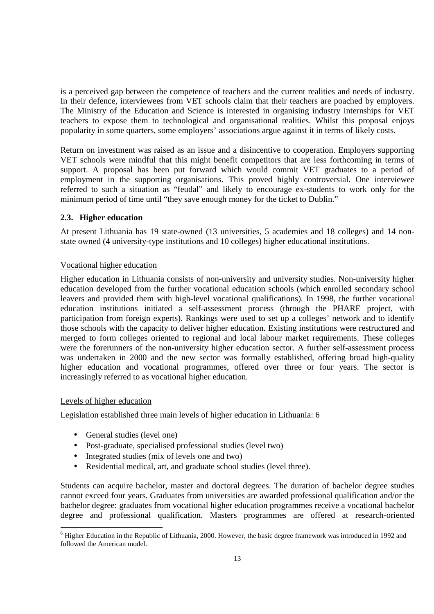is a perceived gap between the competence of teachers and the current realities and needs of industry. In their defence, interviewees from VET schools claim that their teachers are poached by employers. The Ministry of the Education and Science is interested in organising industry internships for VET teachers to expose them to technological and organisational realities. Whilst this proposal enjoys popularity in some quarters, some employers' associations argue against it in terms of likely costs.

Return on investment was raised as an issue and a disincentive to cooperation. Employers supporting VET schools were mindful that this might benefit competitors that are less forthcoming in terms of support. A proposal has been put forward which would commit VET graduates to a period of employment in the supporting organisations. This proved highly controversial. One interviewee referred to such a situation as "feudal" and likely to encourage ex-students to work only for the minimum period of time until "they save enough money for the ticket to Dublin."

# **2.3. Higher education**

At present Lithuania has 19 state-owned (13 universities, 5 academies and 18 colleges) and 14 nonstate owned (4 university-type institutions and 10 colleges) higher educational institutions.

#### Vocational higher education

Higher education in Lithuania consists of non-university and university studies. Non-university higher education developed from the further vocational education schools (which enrolled secondary school leavers and provided them with high-level vocational qualifications). In 1998, the further vocational education institutions initiated a self-assessment process (through the PHARE project, with participation from foreign experts). Rankings were used to set up a colleges' network and to identify those schools with the capacity to deliver higher education. Existing institutions were restructured and merged to form colleges oriented to regional and local labour market requirements. These colleges were the forerunners of the non-university higher education sector. A further self-assessment process was undertaken in 2000 and the new sector was formally established, offering broad high-quality higher education and vocational programmes, offered over three or four years. The sector is increasingly referred to as vocational higher education.

#### Levels of higher education

Legislation established three main levels of higher education in Lithuania: 6

- General studies (level one)
- Post-graduate, specialised professional studies (level two)
- Integrated studies (mix of levels one and two)
- Residential medical, art, and graduate school studies (level three).

Students can acquire bachelor, master and doctoral degrees. The duration of bachelor degree studies cannot exceed four years. Graduates from universities are awarded professional qualification and/or the bachelor degree: graduates from vocational higher education programmes receive a vocational bachelor degree and professional qualification. Masters programmes are offered at research-oriented

<sup>-</sup><sup>6</sup> Higher Education in the Republic of Lithuania, 2000. However, the basic degree framework was introduced in 1992 and followed the American model.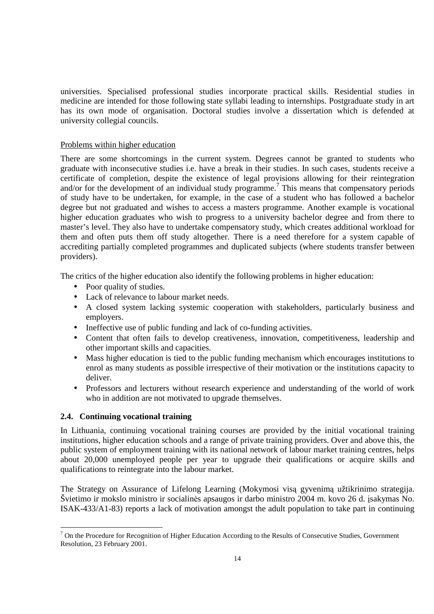universities. Specialised professional studies incorporate practical skills. Residential studies in medicine are intended for those following state syllabi leading to internships. Postgraduate study in art has its own mode of organisation. Doctoral studies involve a dissertation which is defended at university collegial councils.

# Problems within higher education

There are some shortcomings in the current system. Degrees cannot be granted to students who graduate with inconsecutive studies i.e. have a break in their studies. In such cases, students receive a certificate of completion, despite the existence of legal provisions allowing for their reintegration and/or for the development of an individual study programme.<sup>7</sup> This means that compensatory periods of study have to be undertaken, for example, in the case of a student who has followed a bachelor degree but not graduated and wishes to access a masters programme. Another example is vocational higher education graduates who wish to progress to a university bachelor degree and from there to master's level. They also have to undertake compensatory study, which creates additional workload for them and often puts them off study altogether. There is a need therefore for a system capable of accrediting partially completed programmes and duplicated subjects (where students transfer between providers).

The critics of the higher education also identify the following problems in higher education:

- Poor quality of studies.
- Lack of relevance to labour market needs.
- A closed system lacking systemic cooperation with stakeholders, particularly business and employers.
- Ineffective use of public funding and lack of co-funding activities.
- Content that often fails to develop creativeness, innovation, competitiveness, leadership and other important skills and capacities.
- Mass higher education is tied to the public funding mechanism which encourages institutions to enrol as many students as possible irrespective of their motivation or the institutions capacity to deliver.
- Professors and lecturers without research experience and understanding of the world of work who in addition are not motivated to upgrade themselves.

#### **2.4. Continuing vocational training**

In Lithuania, continuing vocational training courses are provided by the initial vocational training institutions, higher education schools and a range of private training providers. Over and above this, the public system of employment training with its national network of labour market training centres, helps about 20,000 unemployed people per year to upgrade their qualifications or acquire skills and qualifications to reintegrate into the labour market.

The Strategy on Assurance of Lifelong Learning (Mokymosi visą gyvenimą užtikrinimo strategija. Švietimo ir mokslo ministro ir socialinės apsaugos ir darbo ministro 2004 m. kovo 26 d. įsakymas No. ISAK-433/A1-83) reports a lack of motivation amongst the adult population to take part in continuing

The Procedure for Recognition of Higher Education According to the Results of Consecutive Studies, Government Resolution, 23 February 2001.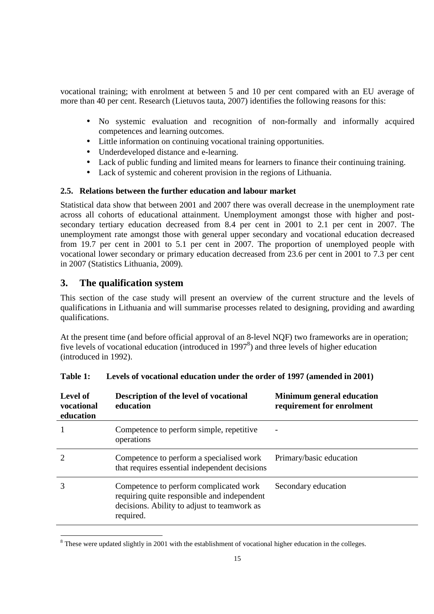vocational training; with enrolment at between 5 and 10 per cent compared with an EU average of more than 40 per cent. Research (Lietuvos tauta, 2007) identifies the following reasons for this:

- No systemic evaluation and recognition of non-formally and informally acquired competences and learning outcomes.
- Little information on continuing vocational training opportunities.
- Underdeveloped distance and e-learning.
- Lack of public funding and limited means for learners to finance their continuing training.
- Lack of systemic and coherent provision in the regions of Lithuania.

# **2.5. Relations between the further education and labour market**

Statistical data show that between 2001 and 2007 there was overall decrease in the unemployment rate across all cohorts of educational attainment. Unemployment amongst those with higher and postsecondary tertiary education decreased from 8.4 per cent in 2001 to 2.1 per cent in 2007. The unemployment rate amongst those with general upper secondary and vocational education decreased from 19.7 per cent in 2001 to 5.1 per cent in 2007. The proportion of unemployed people with vocational lower secondary or primary education decreased from 23.6 per cent in 2001 to 7.3 per cent in 2007 (Statistics Lithuania, 2009).

# **3. The qualification system**

This section of the case study will present an overview of the current structure and the levels of qualifications in Lithuania and will summarise processes related to designing, providing and awarding qualifications.

At the present time (and before official approval of an 8-level NQF) two frameworks are in operation; five levels of vocational education (introduced in 1997<sup>8</sup>) and three levels of higher education (introduced in 1992).

| Level of<br>vocational<br>education | Description of the level of vocational<br>education                                                                                               | <b>Minimum general education</b><br>requirement for enrolment |
|-------------------------------------|---------------------------------------------------------------------------------------------------------------------------------------------------|---------------------------------------------------------------|
|                                     | Competence to perform simple, repetitive<br>operations                                                                                            | $\overline{\phantom{a}}$                                      |
|                                     | Competence to perform a specialised work<br>that requires essential independent decisions                                                         | Primary/basic education                                       |
|                                     | Competence to perform complicated work<br>requiring quite responsible and independent<br>decisions. Ability to adjust to teamwork as<br>required. | Secondary education                                           |

| Levels of vocational education under the order of 1997 (amended in 2001)<br>Table 1: |
|--------------------------------------------------------------------------------------|
|--------------------------------------------------------------------------------------|

<sup>&</sup>lt;sup>8</sup>These were updated slightly in 2001 with the establishment of vocational higher education in the colleges.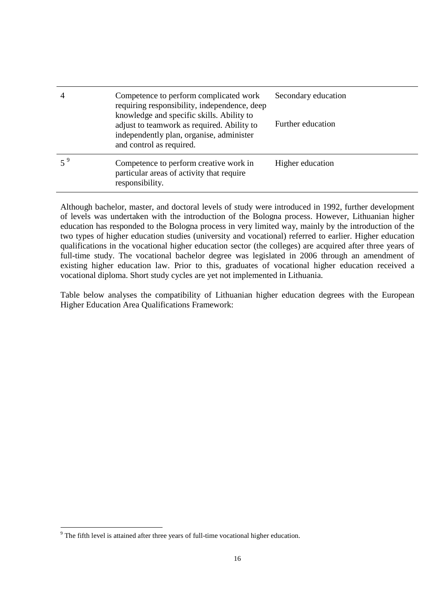| $\overline{4}$ | Competence to perform complicated work<br>requiring responsibility, independence, deep<br>knowledge and specific skills. Ability to<br>adjust to teamwork as required. Ability to<br>independently plan, organise, administer<br>and control as required. | Secondary education<br>Further education |
|----------------|-----------------------------------------------------------------------------------------------------------------------------------------------------------------------------------------------------------------------------------------------------------|------------------------------------------|
|                | Competence to perform creative work in<br>particular areas of activity that require<br>responsibility.                                                                                                                                                    | Higher education                         |

Although bachelor, master, and doctoral levels of study were introduced in 1992, further development of levels was undertaken with the introduction of the Bologna process. However, Lithuanian higher education has responded to the Bologna process in very limited way, mainly by the introduction of the two types of higher education studies (university and vocational) referred to earlier. Higher education qualifications in the vocational higher education sector (the colleges) are acquired after three years of full-time study. The vocational bachelor degree was legislated in 2006 through an amendment of existing higher education law. Prior to this, graduates of vocational higher education received a vocational diploma. Short study cycles are yet not implemented in Lithuania.

Table below analyses the compatibility of Lithuanian higher education degrees with the European Higher Education Area Qualifications Framework:

The fifth level is attained after three years of full-time vocational higher education.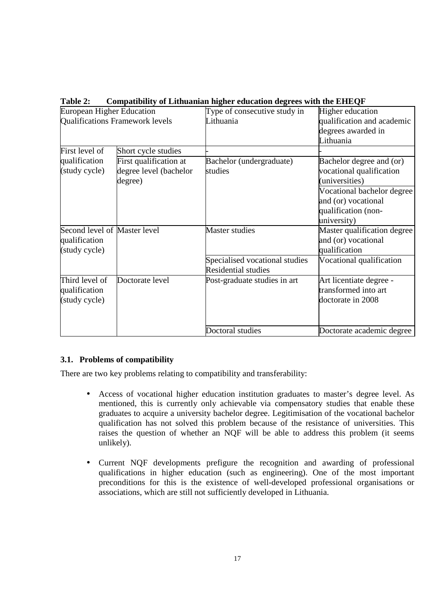| European Higher Education    |                                        | Type of consecutive study in   | Higher education            |
|------------------------------|----------------------------------------|--------------------------------|-----------------------------|
|                              | <b>Qualifications Framework levels</b> | Lithuania                      | qualification and academic  |
|                              |                                        |                                | degrees awarded in          |
|                              |                                        |                                | Lithuania                   |
| First level of               | Short cycle studies                    |                                |                             |
| qualification                | First qualification at                 | Bachelor (undergraduate)       | Bachelor degree and (or)    |
| (study cycle)                | degree level (bachelor                 | studies                        | vocational qualification    |
|                              | degree)                                |                                | (universities)              |
|                              |                                        |                                | Vocational bachelor degree  |
|                              |                                        |                                | and (or) vocational         |
|                              |                                        |                                | qualification (non-         |
|                              |                                        |                                | university)                 |
| Second level of Master level |                                        | Master studies                 | Master qualification degree |
| qualification                |                                        |                                | and (or) vocational         |
| (study cycle)                |                                        |                                | qualification               |
|                              |                                        | Specialised vocational studies | Vocational qualification    |
|                              |                                        | <b>Residential studies</b>     |                             |
| Third level of               | Doctorate level                        | Post-graduate studies in art   | Art licentiate degree -     |
| qualification                |                                        |                                | transformed into art        |
| (study cycle)                |                                        |                                | doctorate in 2008           |
|                              |                                        |                                |                             |
|                              |                                        | Doctoral studies               | Doctorate academic degree   |

**Table 2: Compatibility of Lithuanian higher education degrees with the EHEQF** 

# **3.1. Problems of compatibility**

There are two key problems relating to compatibility and transferability:

- Access of vocational higher education institution graduates to master's degree level. As mentioned, this is currently only achievable via compensatory studies that enable these graduates to acquire a university bachelor degree. Legitimisation of the vocational bachelor qualification has not solved this problem because of the resistance of universities. This raises the question of whether an NQF will be able to address this problem (it seems unlikely).
- Current NQF developments prefigure the recognition and awarding of professional qualifications in higher education (such as engineering). One of the most important preconditions for this is the existence of well-developed professional organisations or associations, which are still not sufficiently developed in Lithuania.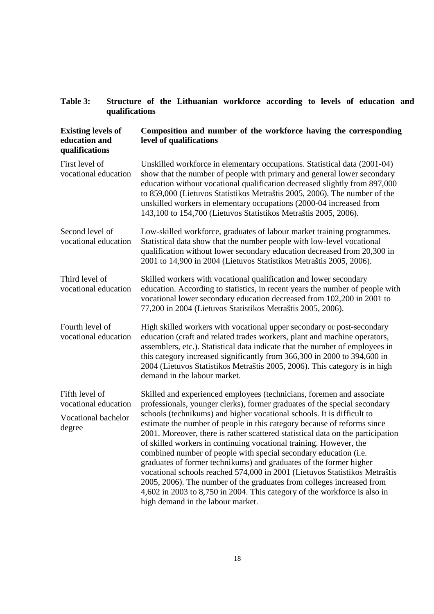# **Table 3: Structure of the Lithuanian workforce according to levels of education and qualifications**

| <b>Existing levels of</b><br>education and<br>qualifications            | Composition and number of the workforce having the corresponding<br>level of qualifications                                                                                                                                                                                                                                                                                                                                                                                                                                                                                                                                                                                                                                                                                                                                                                                         |
|-------------------------------------------------------------------------|-------------------------------------------------------------------------------------------------------------------------------------------------------------------------------------------------------------------------------------------------------------------------------------------------------------------------------------------------------------------------------------------------------------------------------------------------------------------------------------------------------------------------------------------------------------------------------------------------------------------------------------------------------------------------------------------------------------------------------------------------------------------------------------------------------------------------------------------------------------------------------------|
| First level of<br>vocational education                                  | Unskilled workforce in elementary occupations. Statistical data (2001-04)<br>show that the number of people with primary and general lower secondary<br>education without vocational qualification decreased slightly from 897,000<br>to 859,000 (Lietuvos Statistikos Metraštis 2005, 2006). The number of the<br>unskilled workers in elementary occupations (2000-04 increased from<br>143,100 to 154,700 (Lietuvos Statistikos Metraštis 2005, 2006).                                                                                                                                                                                                                                                                                                                                                                                                                           |
| Second level of<br>vocational education                                 | Low-skilled workforce, graduates of labour market training programmes.<br>Statistical data show that the number people with low-level vocational<br>qualification without lower secondary education decreased from 20,300 in<br>2001 to 14,900 in 2004 (Lietuvos Statistikos Metraštis 2005, 2006).                                                                                                                                                                                                                                                                                                                                                                                                                                                                                                                                                                                 |
| Third level of<br>vocational education                                  | Skilled workers with vocational qualification and lower secondary<br>education. According to statistics, in recent years the number of people with<br>vocational lower secondary education decreased from 102,200 in 2001 to<br>77,200 in 2004 (Lietuvos Statistikos Metraštis 2005, 2006).                                                                                                                                                                                                                                                                                                                                                                                                                                                                                                                                                                                         |
| Fourth level of<br>vocational education                                 | High skilled workers with vocational upper secondary or post-secondary<br>education (craft and related trades workers, plant and machine operators,<br>assemblers, etc.). Statistical data indicate that the number of employees in<br>this category increased significantly from 366,300 in 2000 to 394,600 in<br>2004 (Lietuvos Statistikos Metraštis 2005, 2006). This category is in high<br>demand in the labour market.                                                                                                                                                                                                                                                                                                                                                                                                                                                       |
| Fifth level of<br>vocational education<br>Vocational bachelor<br>degree | Skilled and experienced employees (technicians, foremen and associate<br>professionals, younger clerks), former graduates of the special secondary<br>schools (technikums) and higher vocational schools. It is difficult to<br>estimate the number of people in this category because of reforms since<br>2001. Moreover, there is rather scattered statistical data on the participation<br>of skilled workers in continuing vocational training. However, the<br>combined number of people with special secondary education (i.e.<br>graduates of former technikums) and graduates of the former higher<br>vocational schools reached 574,000 in 2001 (Lietuvos Statistikos Metraštis<br>2005, 2006). The number of the graduates from colleges increased from<br>4,602 in 2003 to 8,750 in 2004. This category of the workforce is also in<br>high demand in the labour market. |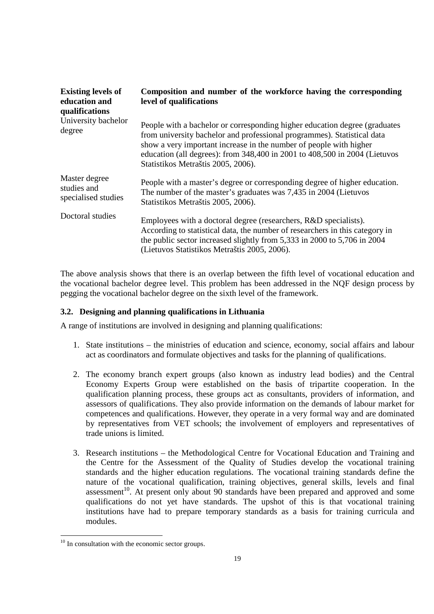| <b>Existing levels of</b><br>education and<br>qualifications | Composition and number of the workforce having the corresponding<br>level of qualifications                                                                                                                                                                                                                                                     |
|--------------------------------------------------------------|-------------------------------------------------------------------------------------------------------------------------------------------------------------------------------------------------------------------------------------------------------------------------------------------------------------------------------------------------|
| University bachelor<br>degree                                | People with a bachelor or corresponding higher education degree (graduates<br>from university bachelor and professional programmes). Statistical data<br>show a very important increase in the number of people with higher<br>education (all degrees): from 348,400 in 2001 to 408,500 in 2004 (Lietuvos<br>Statistikos Metraštis 2005, 2006). |
| Master degree<br>studies and<br>specialised studies          | People with a master's degree or corresponding degree of higher education.<br>The number of the master's graduates was 7,435 in 2004 (Lietuvos<br>Statistikos Metraštis 2005, 2006).                                                                                                                                                            |
| Doctoral studies                                             | Employees with a doctoral degree (researchers, R&D specialists).<br>According to statistical data, the number of researchers in this category in<br>the public sector increased slightly from 5,333 in 2000 to 5,706 in 2004<br>(Lietuvos Statistikos Metraštis 2005, 2006).                                                                    |

The above analysis shows that there is an overlap between the fifth level of vocational education and the vocational bachelor degree level. This problem has been addressed in the NQF design process by pegging the vocational bachelor degree on the sixth level of the framework.

# **3.2. Designing and planning qualifications in Lithuania**

A range of institutions are involved in designing and planning qualifications:

- 1. State institutions the ministries of education and science, economy, social affairs and labour act as coordinators and formulate objectives and tasks for the planning of qualifications.
- 2. The economy branch expert groups (also known as industry lead bodies) and the Central Economy Experts Group were established on the basis of tripartite cooperation. In the qualification planning process, these groups act as consultants, providers of information, and assessors of qualifications. They also provide information on the demands of labour market for competences and qualifications. However, they operate in a very formal way and are dominated by representatives from VET schools; the involvement of employers and representatives of trade unions is limited.
- 3. Research institutions the Methodological Centre for Vocational Education and Training and the Centre for the Assessment of the Quality of Studies develop the vocational training standards and the higher education regulations. The vocational training standards define the nature of the vocational qualification, training objectives, general skills, levels and final assessment<sup>10</sup>. At present only about 90 standards have been prepared and approved and some qualifications do not yet have standards. The upshot of this is that vocational training institutions have had to prepare temporary standards as a basis for training curricula and modules.

-

 $10$  In consultation with the economic sector groups.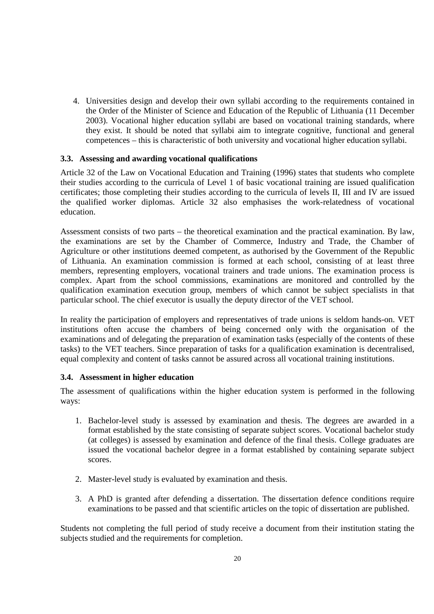4. Universities design and develop their own syllabi according to the requirements contained in the Order of the Minister of Science and Education of the Republic of Lithuania (11 December 2003). Vocational higher education syllabi are based on vocational training standards, where they exist. It should be noted that syllabi aim to integrate cognitive, functional and general competences – this is characteristic of both university and vocational higher education syllabi.

### **3.3. Assessing and awarding vocational qualifications**

Article 32 of the Law on Vocational Education and Training (1996) states that students who complete their studies according to the curricula of Level 1 of basic vocational training are issued qualification certificates; those completing their studies according to the curricula of levels II, III and IV are issued the qualified worker diplomas. Article 32 also emphasises the work-relatedness of vocational education.

Assessment consists of two parts – the theoretical examination and the practical examination. By law, the examinations are set by the Chamber of Commerce, Industry and Trade, the Chamber of Agriculture or other institutions deemed competent, as authorised by the Government of the Republic of Lithuania. An examination commission is formed at each school, consisting of at least three members, representing employers, vocational trainers and trade unions. The examination process is complex. Apart from the school commissions, examinations are monitored and controlled by the qualification examination execution group, members of which cannot be subject specialists in that particular school. The chief executor is usually the deputy director of the VET school.

In reality the participation of employers and representatives of trade unions is seldom hands-on. VET institutions often accuse the chambers of being concerned only with the organisation of the examinations and of delegating the preparation of examination tasks (especially of the contents of these tasks) to the VET teachers. Since preparation of tasks for a qualification examination is decentralised, equal complexity and content of tasks cannot be assured across all vocational training institutions.

#### **3.4. Assessment in higher education**

The assessment of qualifications within the higher education system is performed in the following ways:

- 1. Bachelor-level study is assessed by examination and thesis. The degrees are awarded in a format established by the state consisting of separate subject scores. Vocational bachelor study (at colleges) is assessed by examination and defence of the final thesis. College graduates are issued the vocational bachelor degree in a format established by containing separate subject scores.
- 2. Master-level study is evaluated by examination and thesis.
- 3. A PhD is granted after defending a dissertation. The dissertation defence conditions require examinations to be passed and that scientific articles on the topic of dissertation are published.

Students not completing the full period of study receive a document from their institution stating the subjects studied and the requirements for completion.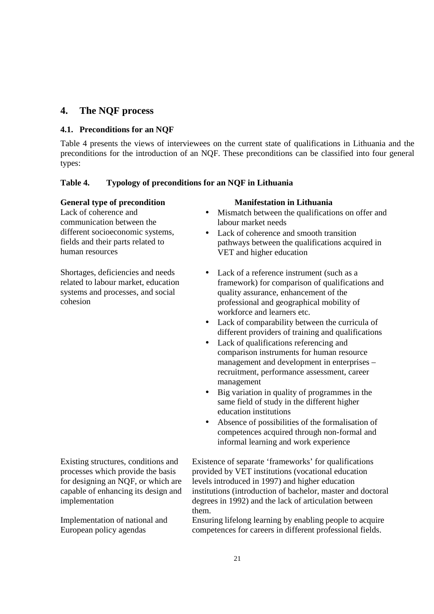# **4. The NQF process**

# **4.1. Preconditions for an NQF**

Table 4 presents the views of interviewees on the current state of qualifications in Lithuania and the preconditions for the introduction of an NQF. These preconditions can be classified into four general types:

# **Table 4. Typology of preconditions for an NQF in Lithuania**

# **General type of precondition Manifestation in Lithuania**

Lack of coherence and communication between the different socioeconomic systems, fields and their parts related to human resources

Shortages, deficiencies and needs related to labour market, education systems and processes, and social cohesion

Existing structures, conditions and processes which provide the basis for designing an NQF, or which are capable of enhancing its design and implementation

Implementation of national and European policy agendas

- Mismatch between the qualifications on offer and labour market needs
- Lack of coherence and smooth transition pathways between the qualifications acquired in VET and higher education
- Lack of a reference instrument (such as a framework) for comparison of qualifications and quality assurance, enhancement of the professional and geographical mobility of workforce and learners etc.
- Lack of comparability between the curricula of different providers of training and qualifications
- Lack of qualifications referencing and comparison instruments for human resource management and development in enterprises – recruitment, performance assessment, career management
- Big variation in quality of programmes in the same field of study in the different higher education institutions
- Absence of possibilities of the formalisation of competences acquired through non-formal and informal learning and work experience

Existence of separate 'frameworks' for qualifications provided by VET institutions (vocational education levels introduced in 1997) and higher education institutions (introduction of bachelor, master and doctoral degrees in 1992) and the lack of articulation between them.

Ensuring lifelong learning by enabling people to acquire competences for careers in different professional fields.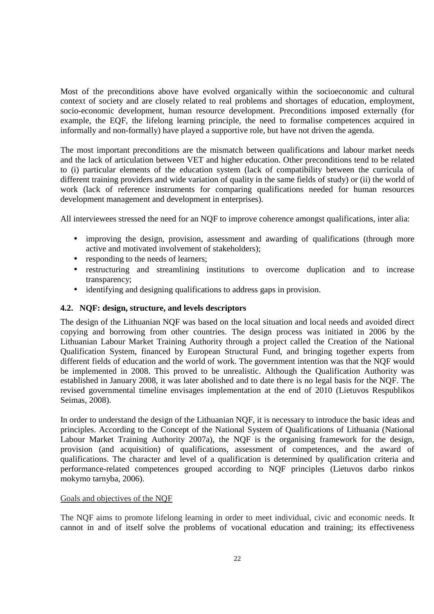Most of the preconditions above have evolved organically within the socioeconomic and cultural context of society and are closely related to real problems and shortages of education, employment, socio-economic development, human resource development. Preconditions imposed externally (for example, the EQF, the lifelong learning principle, the need to formalise competences acquired in informally and non-formally) have played a supportive role, but have not driven the agenda.

The most important preconditions are the mismatch between qualifications and labour market needs and the lack of articulation between VET and higher education. Other preconditions tend to be related to (i) particular elements of the education system (lack of compatibility between the curricula of different training providers and wide variation of quality in the same fields of study) or (ii) the world of work (lack of reference instruments for comparing qualifications needed for human resources development management and development in enterprises).

All interviewees stressed the need for an NQF to improve coherence amongst qualifications, inter alia:

- improving the design, provision, assessment and awarding of qualifications (through more active and motivated involvement of stakeholders);
- responding to the needs of learners;
- restructuring and streamlining institutions to overcome duplication and to increase transparency;
- identifying and designing qualifications to address gaps in provision.

#### **4.2. NQF: design, structure, and levels descriptors**

The design of the Lithuanian NQF was based on the local situation and local needs and avoided direct copying and borrowing from other countries. The design process was initiated in 2006 by the Lithuanian Labour Market Training Authority through a project called the Creation of the National Qualification System, financed by European Structural Fund, and bringing together experts from different fields of education and the world of work. The government intention was that the NQF would be implemented in 2008. This proved to be unrealistic. Although the Qualification Authority was established in January 2008, it was later abolished and to date there is no legal basis for the NQF. The revised governmental timeline envisages implementation at the end of 2010 (Lietuvos Respublikos Seimas, 2008).

In order to understand the design of the Lithuanian NQF, it is necessary to introduce the basic ideas and principles. According to the Concept of the National System of Qualifications of Lithuania (National Labour Market Training Authority 2007a), the NQF is the organising framework for the design, provision (and acquisition) of qualifications, assessment of competences, and the award of qualifications. The character and level of a qualification is determined by qualification criteria and performance-related competences grouped according to NQF principles (Lietuvos darbo rinkos mokymo tarnyba, 2006).

#### Goals and objectives of the NQF

The NQF aims to promote lifelong learning in order to meet individual, civic and economic needs. It cannot in and of itself solve the problems of vocational education and training; its effectiveness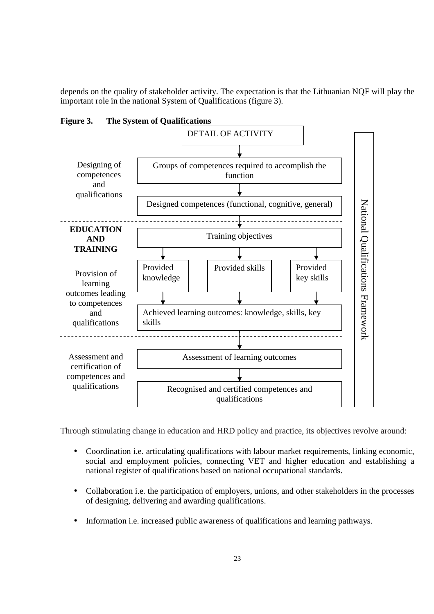depends on the quality of stakeholder activity. The expectation is that the Lithuanian NQF will play the important role in the national System of Qualifications (figure 3).



**Figure 3. The System of Qualifications** 

Through stimulating change in education and HRD policy and practice, its objectives revolve around:

- Coordination i.e. articulating qualifications with labour market requirements, linking economic, social and employment policies, connecting VET and higher education and establishing a national register of qualifications based on national occupational standards.
- Collaboration i.e. the participation of employers, unions, and other stakeholders in the processes of designing, delivering and awarding qualifications.
- Information i.e. increased public awareness of qualifications and learning pathways.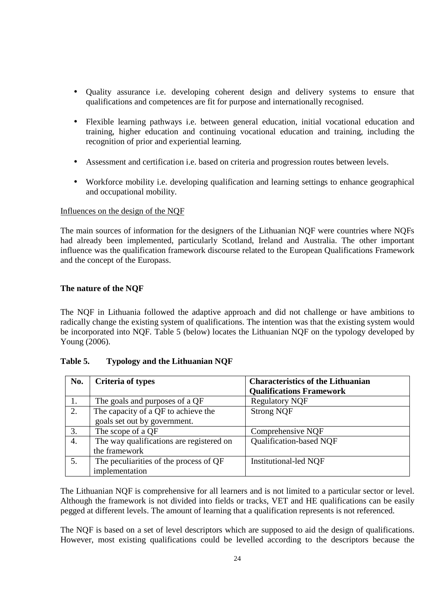- Quality assurance i.e. developing coherent design and delivery systems to ensure that qualifications and competences are fit for purpose and internationally recognised.
- Flexible learning pathways i.e. between general education, initial vocational education and training, higher education and continuing vocational education and training, including the recognition of prior and experiential learning.
- Assessment and certification i.e. based on criteria and progression routes between levels.
- Workforce mobility i.e. developing qualification and learning settings to enhance geographical and occupational mobility.

### Influences on the design of the NQF

The main sources of information for the designers of the Lithuanian NQF were countries where NQFs had already been implemented, particularly Scotland, Ireland and Australia. The other important influence was the qualification framework discourse related to the European Qualifications Framework and the concept of the Europass.

### **The nature of the NQF**

The NQF in Lithuania followed the adaptive approach and did not challenge or have ambitions to radically change the existing system of qualifications. The intention was that the existing system would be incorporated into NQF. Table 5 (below) locates the Lithuanian NQF on the typology developed by Young (2006).

| No. | <b>Criteria of types</b>                 | <b>Characteristics of the Lithuanian</b><br><b>Qualifications Framework</b> |
|-----|------------------------------------------|-----------------------------------------------------------------------------|
|     | The goals and purposes of a QF           | <b>Regulatory NQF</b>                                                       |
| 2.  | The capacity of a QF to achieve the      | <b>Strong NQF</b>                                                           |
|     | goals set out by government.             |                                                                             |
| 3.  | The scope of a QF                        | Comprehensive NQF                                                           |
| 4.  | The way qualifications are registered on | <b>Qualification-based NOF</b>                                              |
|     | the framework                            |                                                                             |
| 5.  | The peculiarities of the process of QF   | <b>Institutional-led NQF</b>                                                |
|     | implementation                           |                                                                             |

#### **Table 5. Typology and the Lithuanian NQF**

The Lithuanian NQF is comprehensive for all learners and is not limited to a particular sector or level. Although the framework is not divided into fields or tracks, VET and HE qualifications can be easily pegged at different levels. The amount of learning that a qualification represents is not referenced.

The NQF is based on a set of level descriptors which are supposed to aid the design of qualifications. However, most existing qualifications could be levelled according to the descriptors because the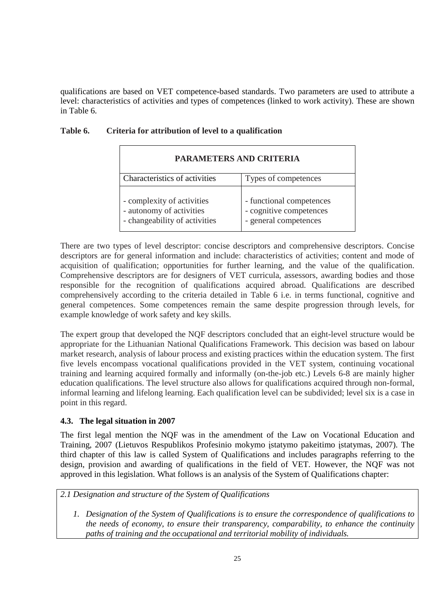qualifications are based on VET competence-based standards. Two parameters are used to attribute a level: characteristics of activities and types of competences (linked to work activity). These are shown in Table 6.

| <b>PARAMETERS AND CRITERIA</b>                                                          |                                                                              |
|-----------------------------------------------------------------------------------------|------------------------------------------------------------------------------|
| Characteristics of activities                                                           | Types of competences                                                         |
| - complexity of activities<br>- autonomy of activities<br>- changeability of activities | - functional competences<br>- cognitive competences<br>- general competences |

# **Table 6. Criteria for attribution of level to a qualification**

There are two types of level descriptor: concise descriptors and comprehensive descriptors. Concise descriptors are for general information and include: characteristics of activities; content and mode of acquisition of qualification; opportunities for further learning, and the value of the qualification. Comprehensive descriptors are for designers of VET curricula, assessors, awarding bodies and those responsible for the recognition of qualifications acquired abroad. Qualifications are described comprehensively according to the criteria detailed in Table 6 i.e. in terms functional, cognitive and general competences. Some competences remain the same despite progression through levels, for example knowledge of work safety and key skills.

The expert group that developed the NQF descriptors concluded that an eight-level structure would be appropriate for the Lithuanian National Qualifications Framework. This decision was based on labour market research, analysis of labour process and existing practices within the education system. The first five levels encompass vocational qualifications provided in the VET system, continuing vocational training and learning acquired formally and informally (on-the-job etc.) Levels 6-8 are mainly higher education qualifications. The level structure also allows for qualifications acquired through non-formal, informal learning and lifelong learning. Each qualification level can be subdivided; level six is a case in point in this regard.

# **4.3. The legal situation in 2007**

The first legal mention the NQF was in the amendment of the Law on Vocational Education and Training, 2007 (Lietuvos Respublikos Profesinio mokymo įstatymo pakeitimo įstatymas, 2007). The third chapter of this law is called System of Qualifications and includes paragraphs referring to the design, provision and awarding of qualifications in the field of VET. However, the NQF was not approved in this legislation. What follows is an analysis of the System of Qualifications chapter:

# *2.1 Designation and structure of the System of Qualifications*

*1. Designation of the System of Qualifications is to ensure the correspondence of qualifications to the needs of economy, to ensure their transparency, comparability, to enhance the continuity paths of training and the occupational and territorial mobility of individuals.*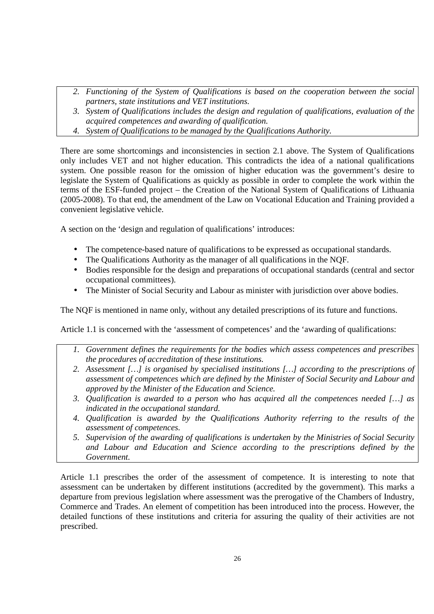- *2. Functioning of the System of Qualifications is based on the cooperation between the social partners, state institutions and VET institutions.*
- *3. System of Qualifications includes the design and regulation of qualifications, evaluation of the acquired competences and awarding of qualification.*
- *4. System of Qualifications to be managed by the Qualifications Authority.*

There are some shortcomings and inconsistencies in section 2.1 above. The System of Qualifications only includes VET and not higher education. This contradicts the idea of a national qualifications system. One possible reason for the omission of higher education was the government's desire to legislate the System of Qualifications as quickly as possible in order to complete the work within the terms of the ESF-funded project – the Creation of the National System of Qualifications of Lithuania (2005-2008). To that end, the amendment of the Law on Vocational Education and Training provided a convenient legislative vehicle.

A section on the 'design and regulation of qualifications' introduces:

- The competence-based nature of qualifications to be expressed as occupational standards.
- The Qualifications Authority as the manager of all qualifications in the NOF.
- Bodies responsible for the design and preparations of occupational standards (central and sector occupational committees).
- The Minister of Social Security and Labour as minister with jurisdiction over above bodies.

The NQF is mentioned in name only, without any detailed prescriptions of its future and functions.

Article 1.1 is concerned with the 'assessment of competences' and the 'awarding of qualifications:

- *1. Government defines the requirements for the bodies which assess competences and prescribes the procedures of accreditation of these institutions.*
- *2. Assessment […] is organised by specialised institutions […] according to the prescriptions of assessment of competences which are defined by the Minister of Social Security and Labour and approved by the Minister of the Education and Science.*
- *3. Qualification is awarded to a person who has acquired all the competences needed […] as indicated in the occupational standard.*
- *4. Qualification is awarded by the Qualifications Authority referring to the results of the assessment of competences.*
- *5. Supervision of the awarding of qualifications is undertaken by the Ministries of Social Security and Labour and Education and Science according to the prescriptions defined by the Government.*

Article 1.1 prescribes the order of the assessment of competence. It is interesting to note that assessment can be undertaken by different institutions (accredited by the government). This marks a departure from previous legislation where assessment was the prerogative of the Chambers of Industry, Commerce and Trades. An element of competition has been introduced into the process. However, the detailed functions of these institutions and criteria for assuring the quality of their activities are not prescribed.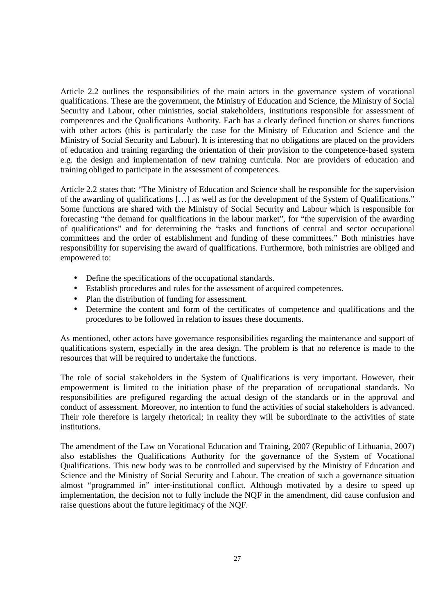Article 2.2 outlines the responsibilities of the main actors in the governance system of vocational qualifications. These are the government, the Ministry of Education and Science, the Ministry of Social Security and Labour, other ministries, social stakeholders, institutions responsible for assessment of competences and the Qualifications Authority. Each has a clearly defined function or shares functions with other actors (this is particularly the case for the Ministry of Education and Science and the Ministry of Social Security and Labour). It is interesting that no obligations are placed on the providers of education and training regarding the orientation of their provision to the competence-based system e.g. the design and implementation of new training curricula. Nor are providers of education and training obliged to participate in the assessment of competences.

Article 2.2 states that: "The Ministry of Education and Science shall be responsible for the supervision of the awarding of qualifications […] as well as for the development of the System of Qualifications." Some functions are shared with the Ministry of Social Security and Labour which is responsible for forecasting "the demand for qualifications in the labour market", for "the supervision of the awarding of qualifications" and for determining the "tasks and functions of central and sector occupational committees and the order of establishment and funding of these committees." Both ministries have responsibility for supervising the award of qualifications. Furthermore, both ministries are obliged and empowered to:

- Define the specifications of the occupational standards.
- Establish procedures and rules for the assessment of acquired competences.
- Plan the distribution of funding for assessment.
- Determine the content and form of the certificates of competence and qualifications and the procedures to be followed in relation to issues these documents.

As mentioned, other actors have governance responsibilities regarding the maintenance and support of qualifications system, especially in the area design. The problem is that no reference is made to the resources that will be required to undertake the functions.

The role of social stakeholders in the System of Qualifications is very important. However, their empowerment is limited to the initiation phase of the preparation of occupational standards. No responsibilities are prefigured regarding the actual design of the standards or in the approval and conduct of assessment. Moreover, no intention to fund the activities of social stakeholders is advanced. Their role therefore is largely rhetorical; in reality they will be subordinate to the activities of state institutions.

The amendment of the Law on Vocational Education and Training, 2007 (Republic of Lithuania, 2007) also establishes the Qualifications Authority for the governance of the System of Vocational Qualifications. This new body was to be controlled and supervised by the Ministry of Education and Science and the Ministry of Social Security and Labour. The creation of such a governance situation almost "programmed in" inter-institutional conflict. Although motivated by a desire to speed up implementation, the decision not to fully include the NQF in the amendment, did cause confusion and raise questions about the future legitimacy of the NQF.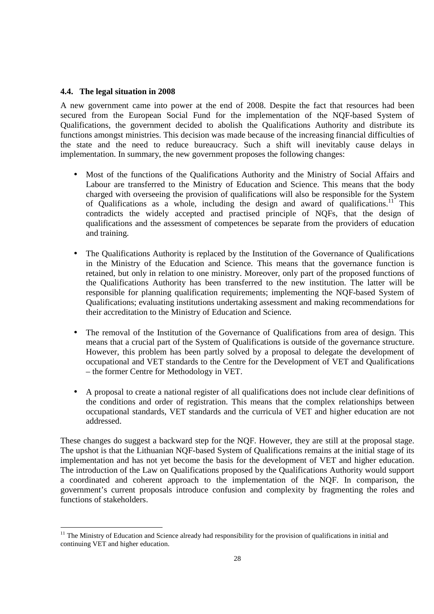#### **4.4. The legal situation in 2008**

-

A new government came into power at the end of 2008. Despite the fact that resources had been secured from the European Social Fund for the implementation of the NQF-based System of Qualifications, the government decided to abolish the Qualifications Authority and distribute its functions amongst ministries. This decision was made because of the increasing financial difficulties of the state and the need to reduce bureaucracy. Such a shift will inevitably cause delays in implementation. In summary, the new government proposes the following changes:

- Most of the functions of the Qualifications Authority and the Ministry of Social Affairs and Labour are transferred to the Ministry of Education and Science. This means that the body charged with overseeing the provision of qualifications will also be responsible for the System of Qualifications as a whole, including the design and award of qualifications.<sup>11</sup> This contradicts the widely accepted and practised principle of NQFs, that the design of qualifications and the assessment of competences be separate from the providers of education and training.
- The Qualifications Authority is replaced by the Institution of the Governance of Qualifications in the Ministry of the Education and Science. This means that the governance function is retained, but only in relation to one ministry. Moreover, only part of the proposed functions of the Qualifications Authority has been transferred to the new institution. The latter will be responsible for planning qualification requirements; implementing the NQF-based System of Qualifications; evaluating institutions undertaking assessment and making recommendations for their accreditation to the Ministry of Education and Science.
- The removal of the Institution of the Governance of Qualifications from area of design. This means that a crucial part of the System of Qualifications is outside of the governance structure. However, this problem has been partly solved by a proposal to delegate the development of occupational and VET standards to the Centre for the Development of VET and Qualifications – the former Centre for Methodology in VET.
- A proposal to create a national register of all qualifications does not include clear definitions of the conditions and order of registration. This means that the complex relationships between occupational standards, VET standards and the curricula of VET and higher education are not addressed.

These changes do suggest a backward step for the NQF. However, they are still at the proposal stage. The upshot is that the Lithuanian NQF-based System of Qualifications remains at the initial stage of its implementation and has not yet become the basis for the development of VET and higher education. The introduction of the Law on Qualifications proposed by the Qualifications Authority would support a coordinated and coherent approach to the implementation of the NQF. In comparison, the government's current proposals introduce confusion and complexity by fragmenting the roles and functions of stakeholders.

 $11$  The Ministry of Education and Science already had responsibility for the provision of qualifications in initial and continuing VET and higher education.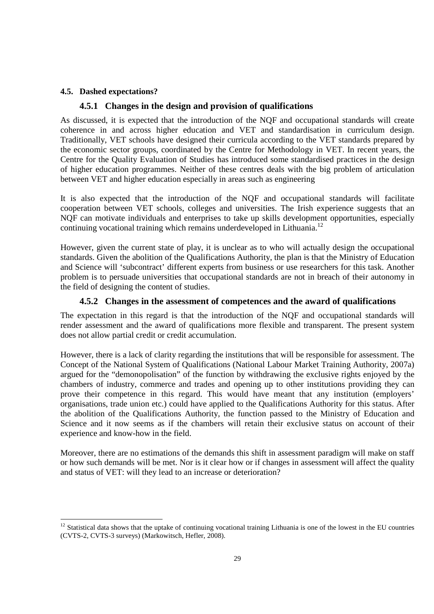# **4.5. Dashed expectations?**

<u>.</u>

# **4.5.1 Changes in the design and provision of qualifications**

As discussed, it is expected that the introduction of the NQF and occupational standards will create coherence in and across higher education and VET and standardisation in curriculum design. Traditionally, VET schools have designed their curricula according to the VET standards prepared by the economic sector groups, coordinated by the Centre for Methodology in VET. In recent years, the Centre for the Quality Evaluation of Studies has introduced some standardised practices in the design of higher education programmes. Neither of these centres deals with the big problem of articulation between VET and higher education especially in areas such as engineering

It is also expected that the introduction of the NQF and occupational standards will facilitate cooperation between VET schools, colleges and universities. The Irish experience suggests that an NQF can motivate individuals and enterprises to take up skills development opportunities, especially continuing vocational training which remains underdeveloped in Lithuania.<sup>12</sup>

However, given the current state of play, it is unclear as to who will actually design the occupational standards. Given the abolition of the Qualifications Authority, the plan is that the Ministry of Education and Science will 'subcontract' different experts from business or use researchers for this task. Another problem is to persuade universities that occupational standards are not in breach of their autonomy in the field of designing the content of studies.

# **4.5.2 Changes in the assessment of competences and the award of qualifications**

The expectation in this regard is that the introduction of the NQF and occupational standards will render assessment and the award of qualifications more flexible and transparent. The present system does not allow partial credit or credit accumulation.

However, there is a lack of clarity regarding the institutions that will be responsible for assessment. The Concept of the National System of Qualifications (National Labour Market Training Authority, 2007a) argued for the "demonopolisation" of the function by withdrawing the exclusive rights enjoyed by the chambers of industry, commerce and trades and opening up to other institutions providing they can prove their competence in this regard. This would have meant that any institution (employers' organisations, trade union etc.) could have applied to the Qualifications Authority for this status. After the abolition of the Qualifications Authority, the function passed to the Ministry of Education and Science and it now seems as if the chambers will retain their exclusive status on account of their experience and know-how in the field.

Moreover, there are no estimations of the demands this shift in assessment paradigm will make on staff or how such demands will be met. Nor is it clear how or if changes in assessment will affect the quality and status of VET: will they lead to an increase or deterioration?

 $12$  Statistical data shows that the uptake of continuing vocational training Lithuania is one of the lowest in the EU countries (CVTS-2, CVTS-3 surveys) (Markowitsch, Hefler, 2008).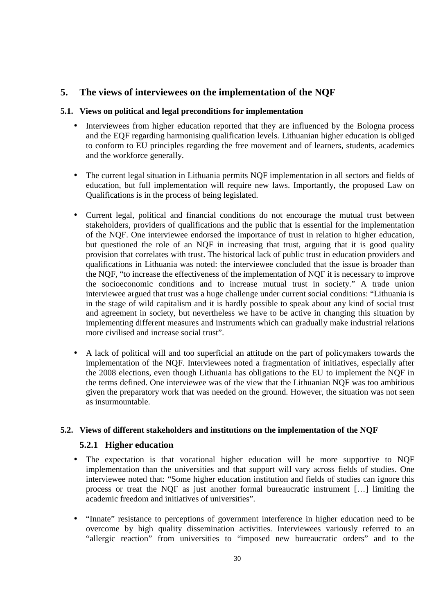# **5. The views of interviewees on the implementation of the NQF**

### **5.1. Views on political and legal preconditions for implementation**

- Interviewees from higher education reported that they are influenced by the Bologna process and the EQF regarding harmonising qualification levels. Lithuanian higher education is obliged to conform to EU principles regarding the free movement and of learners, students, academics and the workforce generally.
- The current legal situation in Lithuania permits NQF implementation in all sectors and fields of education, but full implementation will require new laws. Importantly, the proposed Law on Qualifications is in the process of being legislated.
- Current legal, political and financial conditions do not encourage the mutual trust between stakeholders, providers of qualifications and the public that is essential for the implementation of the NQF. One interviewee endorsed the importance of trust in relation to higher education, but questioned the role of an NQF in increasing that trust, arguing that it is good quality provision that correlates with trust. The historical lack of public trust in education providers and qualifications in Lithuania was noted: the interviewee concluded that the issue is broader than the NQF, "to increase the effectiveness of the implementation of NQF it is necessary to improve the socioeconomic conditions and to increase mutual trust in society." A trade union interviewee argued that trust was a huge challenge under current social conditions: "Lithuania is in the stage of wild capitalism and it is hardly possible to speak about any kind of social trust and agreement in society, but nevertheless we have to be active in changing this situation by implementing different measures and instruments which can gradually make industrial relations more civilised and increase social trust".
- A lack of political will and too superficial an attitude on the part of policymakers towards the implementation of the NQF. Interviewees noted a fragmentation of initiatives, especially after the 2008 elections, even though Lithuania has obligations to the EU to implement the NQF in the terms defined. One interviewee was of the view that the Lithuanian NQF was too ambitious given the preparatory work that was needed on the ground. However, the situation was not seen as insurmountable.

# **5.2. Views of different stakeholders and institutions on the implementation of the NQF**

# **5.2.1 Higher education**

- The expectation is that vocational higher education will be more supportive to NQF implementation than the universities and that support will vary across fields of studies. One interviewee noted that: "Some higher education institution and fields of studies can ignore this process or treat the NQF as just another formal bureaucratic instrument […] limiting the academic freedom and initiatives of universities".
- "Innate" resistance to perceptions of government interference in higher education need to be overcome by high quality dissemination activities. Interviewees variously referred to an "allergic reaction" from universities to "imposed new bureaucratic orders" and to the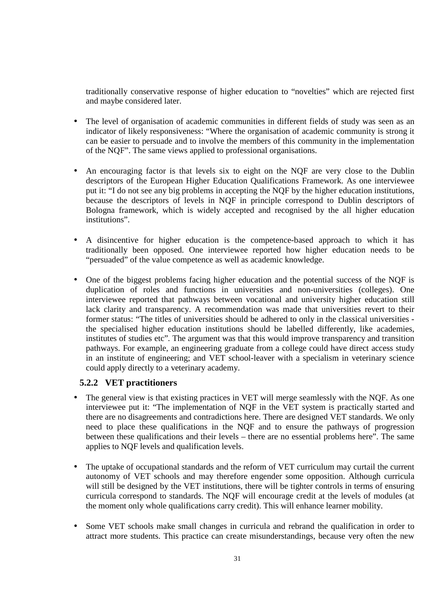traditionally conservative response of higher education to "novelties" which are rejected first and maybe considered later.

- The level of organisation of academic communities in different fields of study was seen as an indicator of likely responsiveness: "Where the organisation of academic community is strong it can be easier to persuade and to involve the members of this community in the implementation of the NQF". The same views applied to professional organisations.
- An encouraging factor is that levels six to eight on the NQF are very close to the Dublin descriptors of the European Higher Education Qualifications Framework. As one interviewee put it: "I do not see any big problems in accepting the NQF by the higher education institutions, because the descriptors of levels in NQF in principle correspond to Dublin descriptors of Bologna framework, which is widely accepted and recognised by the all higher education institutions".
- A disincentive for higher education is the competence-based approach to which it has traditionally been opposed. One interviewee reported how higher education needs to be "persuaded" of the value competence as well as academic knowledge.
- One of the biggest problems facing higher education and the potential success of the NQF is duplication of roles and functions in universities and non-universities (colleges). One interviewee reported that pathways between vocational and university higher education still lack clarity and transparency. A recommendation was made that universities revert to their former status: "The titles of universities should be adhered to only in the classical universities the specialised higher education institutions should be labelled differently, like academies, institutes of studies etc". The argument was that this would improve transparency and transition pathways. For example, an engineering graduate from a college could have direct access study in an institute of engineering; and VET school-leaver with a specialism in veterinary science could apply directly to a veterinary academy.

# **5.2.2 VET practitioners**

- The general view is that existing practices in VET will merge seamlessly with the NQF. As one interviewee put it: "The implementation of NQF in the VET system is practically started and there are no disagreements and contradictions here. There are designed VET standards. We only need to place these qualifications in the NQF and to ensure the pathways of progression between these qualifications and their levels – there are no essential problems here". The same applies to NQF levels and qualification levels.
- The uptake of occupational standards and the reform of VET curriculum may curtail the current autonomy of VET schools and may therefore engender some opposition. Although curricula will still be designed by the VET institutions, there will be tighter controls in terms of ensuring curricula correspond to standards. The NQF will encourage credit at the levels of modules (at the moment only whole qualifications carry credit). This will enhance learner mobility.
- Some VET schools make small changes in curricula and rebrand the qualification in order to attract more students. This practice can create misunderstandings, because very often the new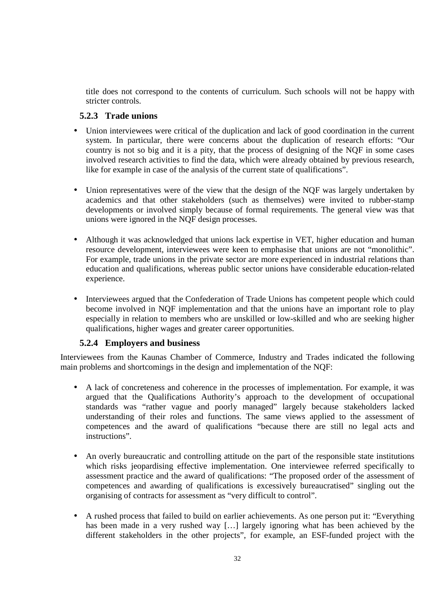title does not correspond to the contents of curriculum. Such schools will not be happy with stricter controls.

# **5.2.3 Trade unions**

- Union interviewees were critical of the duplication and lack of good coordination in the current system. In particular, there were concerns about the duplication of research efforts: "Our country is not so big and it is a pity, that the process of designing of the NQF in some cases involved research activities to find the data, which were already obtained by previous research, like for example in case of the analysis of the current state of qualifications".
- Union representatives were of the view that the design of the NQF was largely undertaken by academics and that other stakeholders (such as themselves) were invited to rubber-stamp developments or involved simply because of formal requirements. The general view was that unions were ignored in the NQF design processes.
- Although it was acknowledged that unions lack expertise in VET, higher education and human resource development, interviewees were keen to emphasise that unions are not "monolithic". For example, trade unions in the private sector are more experienced in industrial relations than education and qualifications, whereas public sector unions have considerable education-related experience.
- Interviewees argued that the Confederation of Trade Unions has competent people which could become involved in NQF implementation and that the unions have an important role to play especially in relation to members who are unskilled or low-skilled and who are seeking higher qualifications, higher wages and greater career opportunities.

# **5.2.4 Employers and business**

Interviewees from the Kaunas Chamber of Commerce, Industry and Trades indicated the following main problems and shortcomings in the design and implementation of the NQF:

- A lack of concreteness and coherence in the processes of implementation. For example, it was argued that the Qualifications Authority's approach to the development of occupational standards was "rather vague and poorly managed" largely because stakeholders lacked understanding of their roles and functions. The same views applied to the assessment of competences and the award of qualifications "because there are still no legal acts and instructions".
- An overly bureaucratic and controlling attitude on the part of the responsible state institutions which risks jeopardising effective implementation. One interviewee referred specifically to assessment practice and the award of qualifications: "The proposed order of the assessment of competences and awarding of qualifications is excessively bureaucratised" singling out the organising of contracts for assessment as "very difficult to control".
- A rushed process that failed to build on earlier achievements. As one person put it: "Everything has been made in a very rushed way [...] largely ignoring what has been achieved by the different stakeholders in the other projects", for example, an ESF-funded project with the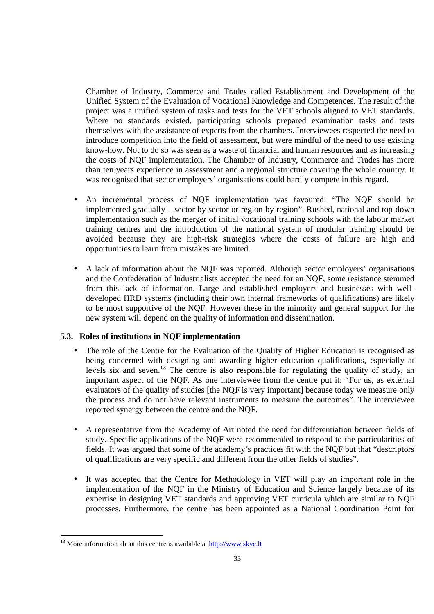Chamber of Industry, Commerce and Trades called Establishment and Development of the Unified System of the Evaluation of Vocational Knowledge and Competences. The result of the project was a unified system of tasks and tests for the VET schools aligned to VET standards. Where no standards existed, participating schools prepared examination tasks and tests themselves with the assistance of experts from the chambers. Interviewees respected the need to introduce competition into the field of assessment, but were mindful of the need to use existing know-how. Not to do so was seen as a waste of financial and human resources and as increasing the costs of NQF implementation. The Chamber of Industry, Commerce and Trades has more than ten years experience in assessment and a regional structure covering the whole country. It was recognised that sector employers' organisations could hardly compete in this regard.

- An incremental process of NQF implementation was favoured: "The NQF should be implemented gradually – sector by sector or region by region". Rushed, national and top-down implementation such as the merger of initial vocational training schools with the labour market training centres and the introduction of the national system of modular training should be avoided because they are high-risk strategies where the costs of failure are high and opportunities to learn from mistakes are limited.
- A lack of information about the NQF was reported. Although sector employers' organisations and the Confederation of Industrialists accepted the need for an NQF, some resistance stemmed from this lack of information. Large and established employers and businesses with welldeveloped HRD systems (including their own internal frameworks of qualifications) are likely to be most supportive of the NQF. However these in the minority and general support for the new system will depend on the quality of information and dissemination.

# **5.3. Roles of institutions in NQF implementation**

- The role of the Centre for the Evaluation of the Quality of Higher Education is recognised as being concerned with designing and awarding higher education qualifications, especially at levels six and seven.<sup>13</sup> The centre is also responsible for regulating the quality of study, an important aspect of the NQF. As one interviewee from the centre put it: "For us, as external evaluators of the quality of studies [the NQF is very important] because today we measure only the process and do not have relevant instruments to measure the outcomes". The interviewee reported synergy between the centre and the NQF.
- A representative from the Academy of Art noted the need for differentiation between fields of study. Specific applications of the NQF were recommended to respond to the particularities of fields. It was argued that some of the academy's practices fit with the NQF but that "descriptors of qualifications are very specific and different from the other fields of studies".
- It was accepted that the Centre for Methodology in VET will play an important role in the implementation of the NQF in the Ministry of Education and Science largely because of its expertise in designing VET standards and approving VET curricula which are similar to NQF processes. Furthermore, the centre has been appointed as a National Coordination Point for

<sup>-</sup> $13$  More information about this centre is available at  $\frac{http://www.skvc.lt}{http://www.skvc.lt})$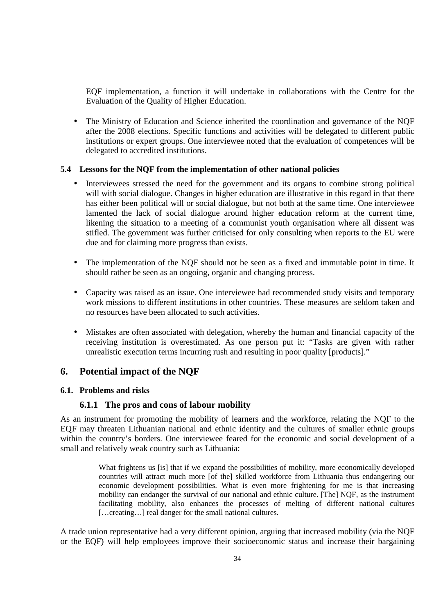EQF implementation, a function it will undertake in collaborations with the Centre for the Evaluation of the Quality of Higher Education.

• The Ministry of Education and Science inherited the coordination and governance of the NQF after the 2008 elections. Specific functions and activities will be delegated to different public institutions or expert groups. One interviewee noted that the evaluation of competences will be delegated to accredited institutions.

# **5.4 Lessons for the NQF from the implementation of other national policies**

- Interviewees stressed the need for the government and its organs to combine strong political will with social dialogue. Changes in higher education are illustrative in this regard in that there has either been political will or social dialogue, but not both at the same time. One interviewee lamented the lack of social dialogue around higher education reform at the current time, likening the situation to a meeting of a communist youth organisation where all dissent was stifled. The government was further criticised for only consulting when reports to the EU were due and for claiming more progress than exists.
- The implementation of the NQF should not be seen as a fixed and immutable point in time. It should rather be seen as an ongoing, organic and changing process.
- Capacity was raised as an issue. One interviewee had recommended study visits and temporary work missions to different institutions in other countries. These measures are seldom taken and no resources have been allocated to such activities.
- Mistakes are often associated with delegation, whereby the human and financial capacity of the receiving institution is overestimated. As one person put it: "Tasks are given with rather unrealistic execution terms incurring rush and resulting in poor quality [products]."

# **6. Potential impact of the NQF**

#### **6.1. Problems and risks**

# **6.1.1 The pros and cons of labour mobility**

As an instrument for promoting the mobility of learners and the workforce, relating the NQF to the EQF may threaten Lithuanian national and ethnic identity and the cultures of smaller ethnic groups within the country's borders. One interviewee feared for the economic and social development of a small and relatively weak country such as Lithuania:

> What frightens us [is] that if we expand the possibilities of mobility, more economically developed countries will attract much more [of the] skilled workforce from Lithuania thus endangering our economic development possibilities. What is even more frightening for me is that increasing mobility can endanger the survival of our national and ethnic culture. [The] NQF, as the instrument facilitating mobility, also enhances the processes of melting of different national cultures [...creating...] real danger for the small national cultures.

A trade union representative had a very different opinion, arguing that increased mobility (via the NQF or the EQF) will help employees improve their socioeconomic status and increase their bargaining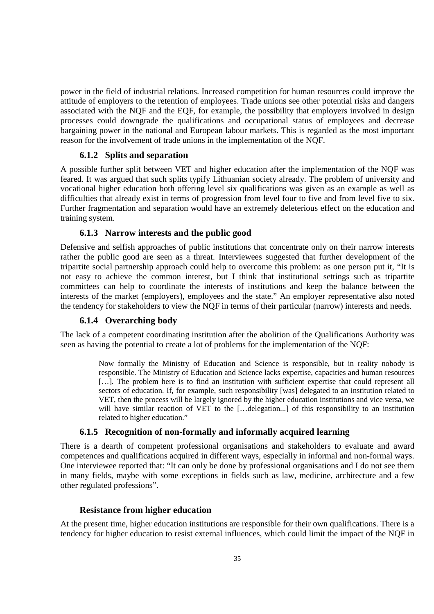power in the field of industrial relations. Increased competition for human resources could improve the attitude of employers to the retention of employees. Trade unions see other potential risks and dangers associated with the NQF and the EQF, for example, the possibility that employers involved in design processes could downgrade the qualifications and occupational status of employees and decrease bargaining power in the national and European labour markets. This is regarded as the most important reason for the involvement of trade unions in the implementation of the NQF.

### **6.1.2 Splits and separation**

A possible further split between VET and higher education after the implementation of the NQF was feared. It was argued that such splits typify Lithuanian society already. The problem of university and vocational higher education both offering level six qualifications was given as an example as well as difficulties that already exist in terms of progression from level four to five and from level five to six. Further fragmentation and separation would have an extremely deleterious effect on the education and training system.

### **6.1.3 Narrow interests and the public good**

Defensive and selfish approaches of public institutions that concentrate only on their narrow interests rather the public good are seen as a threat. Interviewees suggested that further development of the tripartite social partnership approach could help to overcome this problem: as one person put it, "It is not easy to achieve the common interest, but I think that institutional settings such as tripartite committees can help to coordinate the interests of institutions and keep the balance between the interests of the market (employers), employees and the state." An employer representative also noted the tendency for stakeholders to view the NQF in terms of their particular (narrow) interests and needs.

# **6.1.4 Overarching body**

The lack of a competent coordinating institution after the abolition of the Qualifications Authority was seen as having the potential to create a lot of problems for the implementation of the NQF:

> Now formally the Ministry of Education and Science is responsible, but in reality nobody is responsible. The Ministry of Education and Science lacks expertise, capacities and human resources [...]. The problem here is to find an institution with sufficient expertise that could represent all sectors of education. If, for example, such responsibility [was] delegated to an institution related to VET, then the process will be largely ignored by the higher education institutions and vice versa, we will have similar reaction of VET to the [...delegation...] of this responsibility to an institution related to higher education."

#### **6.1.5 Recognition of non-formally and informally acquired learning**

There is a dearth of competent professional organisations and stakeholders to evaluate and award competences and qualifications acquired in different ways, especially in informal and non-formal ways. One interviewee reported that: "It can only be done by professional organisations and I do not see them in many fields, maybe with some exceptions in fields such as law, medicine, architecture and a few other regulated professions".

#### **Resistance from higher education**

At the present time, higher education institutions are responsible for their own qualifications. There is a tendency for higher education to resist external influences, which could limit the impact of the NQF in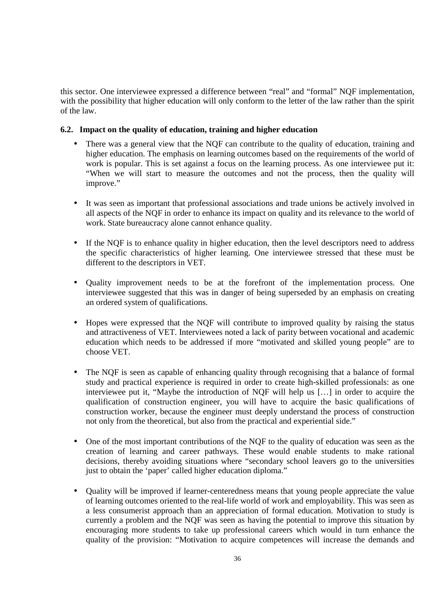this sector. One interviewee expressed a difference between "real" and "formal" NQF implementation, with the possibility that higher education will only conform to the letter of the law rather than the spirit of the law.

### **6.2. Impact on the quality of education, training and higher education**

- There was a general view that the NQF can contribute to the quality of education, training and higher education. The emphasis on learning outcomes based on the requirements of the world of work is popular. This is set against a focus on the learning process. As one interviewee put it: "When we will start to measure the outcomes and not the process, then the quality will improve."
- It was seen as important that professional associations and trade unions be actively involved in all aspects of the NQF in order to enhance its impact on quality and its relevance to the world of work. State bureaucracy alone cannot enhance quality.
- If the NQF is to enhance quality in higher education, then the level descriptors need to address the specific characteristics of higher learning. One interviewee stressed that these must be different to the descriptors in VET.
- Quality improvement needs to be at the forefront of the implementation process. One interviewee suggested that this was in danger of being superseded by an emphasis on creating an ordered system of qualifications.
- Hopes were expressed that the NQF will contribute to improved quality by raising the status and attractiveness of VET. Interviewees noted a lack of parity between vocational and academic education which needs to be addressed if more "motivated and skilled young people" are to choose VET.
- The NQF is seen as capable of enhancing quality through recognising that a balance of formal study and practical experience is required in order to create high-skilled professionals: as one interviewee put it, "Maybe the introduction of NQF will help us […] in order to acquire the qualification of construction engineer, you will have to acquire the basic qualifications of construction worker, because the engineer must deeply understand the process of construction not only from the theoretical, but also from the practical and experiential side."
- One of the most important contributions of the NQF to the quality of education was seen as the creation of learning and career pathways. These would enable students to make rational decisions, thereby avoiding situations where "secondary school leavers go to the universities just to obtain the 'paper' called higher education diploma."
- Quality will be improved if learner-centeredness means that young people appreciate the value of learning outcomes oriented to the real-life world of work and employability. This was seen as a less consumerist approach than an appreciation of formal education. Motivation to study is currently a problem and the NQF was seen as having the potential to improve this situation by encouraging more students to take up professional careers which would in turn enhance the quality of the provision: "Motivation to acquire competences will increase the demands and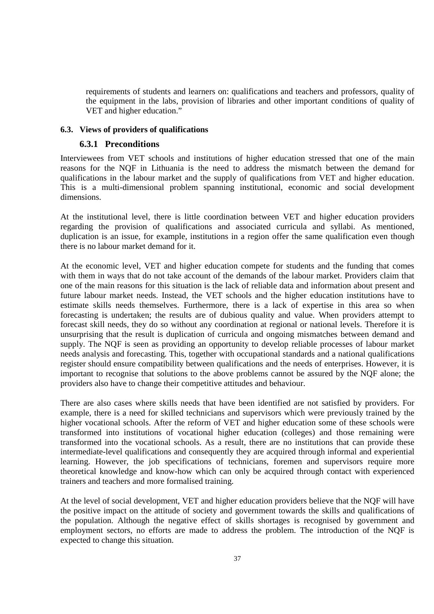requirements of students and learners on: qualifications and teachers and professors, quality of the equipment in the labs, provision of libraries and other important conditions of quality of VET and higher education."

#### **6.3. Views of providers of qualifications**

#### **6.3.1 Preconditions**

Interviewees from VET schools and institutions of higher education stressed that one of the main reasons for the NQF in Lithuania is the need to address the mismatch between the demand for qualifications in the labour market and the supply of qualifications from VET and higher education. This is a multi-dimensional problem spanning institutional, economic and social development dimensions.

At the institutional level, there is little coordination between VET and higher education providers regarding the provision of qualifications and associated curricula and syllabi. As mentioned, duplication is an issue, for example, institutions in a region offer the same qualification even though there is no labour market demand for it.

At the economic level, VET and higher education compete for students and the funding that comes with them in ways that do not take account of the demands of the labour market. Providers claim that one of the main reasons for this situation is the lack of reliable data and information about present and future labour market needs. Instead, the VET schools and the higher education institutions have to estimate skills needs themselves. Furthermore, there is a lack of expertise in this area so when forecasting is undertaken; the results are of dubious quality and value. When providers attempt to forecast skill needs, they do so without any coordination at regional or national levels. Therefore it is unsurprising that the result is duplication of curricula and ongoing mismatches between demand and supply. The NQF is seen as providing an opportunity to develop reliable processes of labour market needs analysis and forecasting. This, together with occupational standards and a national qualifications register should ensure compatibility between qualifications and the needs of enterprises. However, it is important to recognise that solutions to the above problems cannot be assured by the NQF alone; the providers also have to change their competitive attitudes and behaviour.

There are also cases where skills needs that have been identified are not satisfied by providers. For example, there is a need for skilled technicians and supervisors which were previously trained by the higher vocational schools. After the reform of VET and higher education some of these schools were transformed into institutions of vocational higher education (colleges) and those remaining were transformed into the vocational schools. As a result, there are no institutions that can provide these intermediate-level qualifications and consequently they are acquired through informal and experiential learning. However, the job specifications of technicians, foremen and supervisors require more theoretical knowledge and know-how which can only be acquired through contact with experienced trainers and teachers and more formalised training.

At the level of social development, VET and higher education providers believe that the NQF will have the positive impact on the attitude of society and government towards the skills and qualifications of the population. Although the negative effect of skills shortages is recognised by government and employment sectors, no efforts are made to address the problem. The introduction of the NQF is expected to change this situation.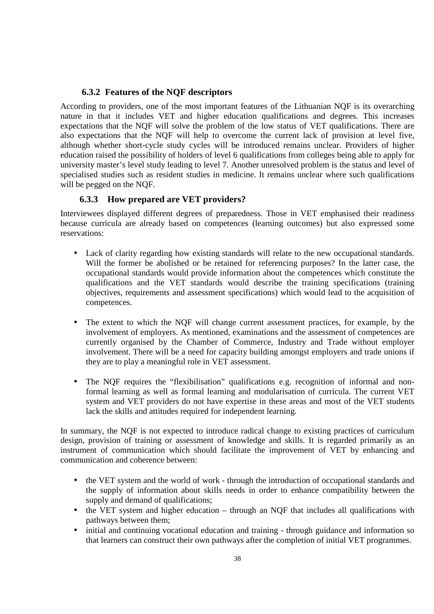# **6.3.2 Features of the NQF descriptors**

According to providers, one of the most important features of the Lithuanian NQF is its overarching nature in that it includes VET and higher education qualifications and degrees. This increases expectations that the NQF will solve the problem of the low status of VET qualifications. There are also expectations that the NQF will help to overcome the current lack of provision at level five, although whether short-cycle study cycles will be introduced remains unclear. Providers of higher education raised the possibility of holders of level 6 qualifications from colleges being able to apply for university master's level study leading to level 7. Another unresolved problem is the status and level of specialised studies such as resident studies in medicine. It remains unclear where such qualifications will be pegged on the NQF.

# **6.3.3 How prepared are VET providers?**

Interviewees displayed different degrees of preparedness. Those in VET emphasised their readiness because curricula are already based on competences (learning outcomes) but also expressed some reservations:

- Lack of clarity regarding how existing standards will relate to the new occupational standards. Will the former be abolished or be retained for referencing purposes? In the latter case, the occupational standards would provide information about the competences which constitute the qualifications and the VET standards would describe the training specifications (training objectives, requirements and assessment specifications) which would lead to the acquisition of competences.
- The extent to which the NQF will change current assessment practices, for example, by the involvement of employers. As mentioned, examinations and the assessment of competences are currently organised by the Chamber of Commerce, Industry and Trade without employer involvement. There will be a need for capacity building amongst employers and trade unions if they are to play a meaningful role in VET assessment.
- The NQF requires the "flexibilisation" qualifications e.g. recognition of informal and nonformal learning as well as formal learning and modularisation of curricula. The current VET system and VET providers do not have expertise in these areas and most of the VET students lack the skills and attitudes required for independent learning.

In summary, the NQF is not expected to introduce radical change to existing practices of curriculum design, provision of training or assessment of knowledge and skills. It is regarded primarily as an instrument of communication which should facilitate the improvement of VET by enhancing and communication and coherence between:

- the VET system and the world of work through the introduction of occupational standards and the supply of information about skills needs in order to enhance compatibility between the supply and demand of qualifications;
- the VET system and higher education through an NQF that includes all qualifications with pathways between them;
- initial and continuing vocational education and training through guidance and information so that learners can construct their own pathways after the completion of initial VET programmes.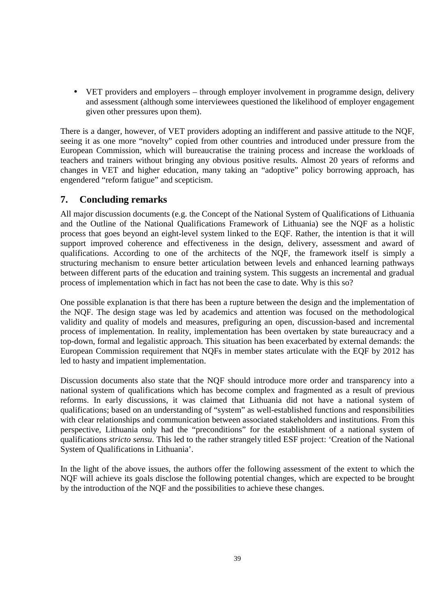• VET providers and employers – through employer involvement in programme design, delivery and assessment (although some interviewees questioned the likelihood of employer engagement given other pressures upon them).

There is a danger, however, of VET providers adopting an indifferent and passive attitude to the NQF, seeing it as one more "novelty" copied from other countries and introduced under pressure from the European Commission, which will bureaucratise the training process and increase the workloads of teachers and trainers without bringing any obvious positive results. Almost 20 years of reforms and changes in VET and higher education, many taking an "adoptive" policy borrowing approach, has engendered "reform fatigue" and scepticism.

# **7. Concluding remarks**

All major discussion documents (e.g. the Concept of the National System of Qualifications of Lithuania and the Outline of the National Qualifications Framework of Lithuania) see the NQF as a holistic process that goes beyond an eight-level system linked to the EQF. Rather, the intention is that it will support improved coherence and effectiveness in the design, delivery, assessment and award of qualifications. According to one of the architects of the NQF, the framework itself is simply a structuring mechanism to ensure better articulation between levels and enhanced learning pathways between different parts of the education and training system. This suggests an incremental and gradual process of implementation which in fact has not been the case to date. Why is this so?

One possible explanation is that there has been a rupture between the design and the implementation of the NQF. The design stage was led by academics and attention was focused on the methodological validity and quality of models and measures, prefiguring an open, discussion-based and incremental process of implementation. In reality, implementation has been overtaken by state bureaucracy and a top-down, formal and legalistic approach. This situation has been exacerbated by external demands: the European Commission requirement that NQFs in member states articulate with the EQF by 2012 has led to hasty and impatient implementation.

Discussion documents also state that the NQF should introduce more order and transparency into a national system of qualifications which has become complex and fragmented as a result of previous reforms. In early discussions, it was claimed that Lithuania did not have a national system of qualifications; based on an understanding of "system" as well-established functions and responsibilities with clear relationships and communication between associated stakeholders and institutions. From this perspective, Lithuania only had the "preconditions" for the establishment of a national system of qualifications *stricto sensu*. This led to the rather strangely titled ESF project: 'Creation of the National System of Qualifications in Lithuania'.

In the light of the above issues, the authors offer the following assessment of the extent to which the NQF will achieve its goals disclose the following potential changes, which are expected to be brought by the introduction of the NQF and the possibilities to achieve these changes.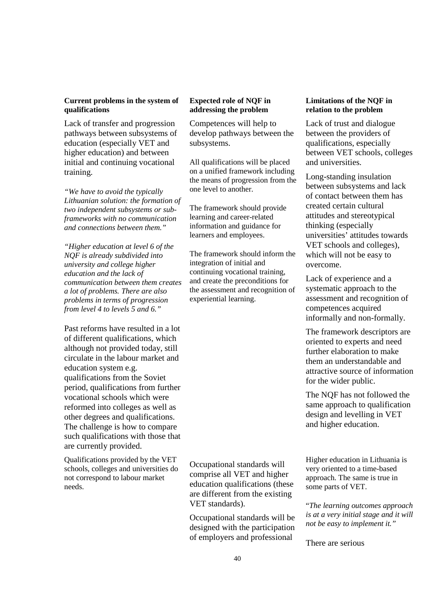#### **Current problems in the system of qualifications**

Lack of transfer and progression pathways between subsystems of education (especially VET and higher education) and between initial and continuing vocational training.

*"We have to avoid the typically Lithuanian solution: the formation of two independent subsystems or subframeworks with no communication and connections between them."* 

*"Higher education at level 6 of the NQF is already subdivided into university and college higher education and the lack of communication between them creates a lot of problems. There are also problems in terms of progression from level 4 to levels 5 and 6."* 

Past reforms have resulted in a lot of different qualifications, which although not provided today, still circulate in the labour market and education system e.g. qualifications from the Soviet period, qualifications from further vocational schools which were reformed into colleges as well as other degrees and qualifications. The challenge is how to compare such qualifications with those that are currently provided.

Qualifications provided by the VET schools, colleges and universities do not correspond to labour market needs.

#### **Expected role of NQF in addressing the problem**

Competences will help to develop pathways between the subsystems.

All qualifications will be placed on a unified framework including the means of progression from the one level to another.

The framework should provide learning and career-related information and guidance for learners and employees.

The framework should inform the integration of initial and continuing vocational training, and create the preconditions for the assessment and recognition of experiential learning.

Occupational standards will comprise all VET and higher education qualifications (these are different from the existing VET standards).

Occupational standards will be designed with the participation of employers and professional

#### **Limitations of the NQF in relation to the problem**

Lack of trust and dialogue between the providers of qualifications, especially between VET schools, colleges and universities.

Long-standing insulation between subsystems and lack of contact between them has created certain cultural attitudes and stereotypical thinking (especially universities' attitudes towards VET schools and colleges), which will not be easy to overcome.

Lack of experience and a systematic approach to the assessment and recognition of competences acquired informally and non-formally.

The framework descriptors are oriented to experts and need further elaboration to make them an understandable and attractive source of information for the wider public.

The NQF has not followed the same approach to qualification design and levelling in VET and higher education.

Higher education in Lithuania is very oriented to a time-based approach. The same is true in some parts of VET.

"*The learning outcomes approach is at a very initial stage and it will not be easy to implement it."* 

There are serious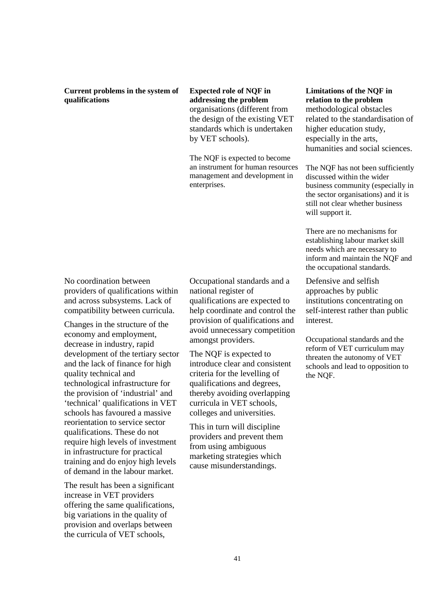#### **Current problems in the system of qualifications**

**Expected role of NQF in addressing the problem**  organisations (different from the design of the existing VET standards which is undertaken by VET schools).

The NQF is expected to become an instrument for human resources management and development in enterprises.

No coordination between providers of qualifications within and across subsystems. Lack of compatibility between curricula.

Changes in the structure of the economy and employment, decrease in industry, rapid development of the tertiary sector and the lack of finance for high quality technical and technological infrastructure for the provision of 'industrial' and 'technical' qualifications in VET schools has favoured a massive reorientation to service sector qualifications. These do not require high levels of investment in infrastructure for practical training and do enjoy high levels of demand in the labour market.

The result has been a significant increase in VET providers offering the same qualifications, big variations in the quality of provision and overlaps between the curricula of VET schools,

Occupational standards and a national register of qualifications are expected to help coordinate and control the provision of qualifications and avoid unnecessary competition amongst providers.

The NQF is expected to introduce clear and consistent criteria for the levelling of qualifications and degrees, thereby avoiding overlapping curricula in VET schools, colleges and universities.

This in turn will discipline providers and prevent them from using ambiguous marketing strategies which cause misunderstandings.

# **Limitations of the NQF in relation to the problem**  methodological obstacles related to the standardisation of higher education study, especially in the arts, humanities and social sciences.

The NQF has not been sufficiently discussed within the wider business community (especially in the sector organisations) and it is still not clear whether business will support it.

There are no mechanisms for establishing labour market skill needs which are necessary to inform and maintain the NQF and the occupational standards.

Defensive and selfish approaches by public institutions concentrating on self-interest rather than public interest.

Occupational standards and the reform of VET curriculum may threaten the autonomy of VET schools and lead to opposition to the NQF.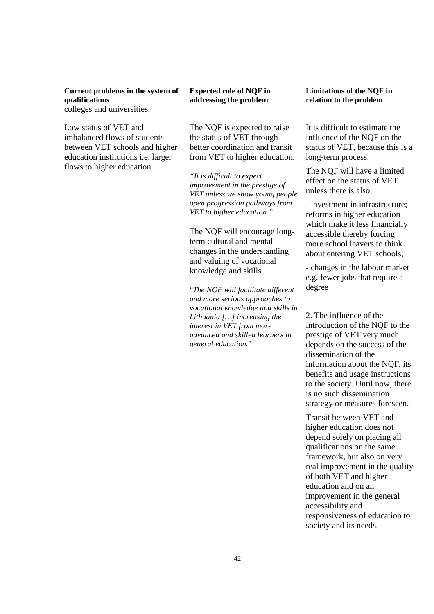**Current problems in the system of qualifications**  colleges and universities.

Low status of VET and imbalanced flows of students between VET schools and higher education institutions i.e. larger flows to higher education.

### **Expected role of NQF in addressing the problem**

The NQF is expected to raise the status of VET through better coordination and transit from VET to higher education.

*"It is difficult to expect improvement in the prestige of VET unless we show young people open progression pathways from VET to higher education."* 

The NQF will encourage longterm cultural and mental changes in the understanding and valuing of vocational knowledge and skills

"*The NQF will facilitate different and more serious approaches to vocational knowledge and skills in Lithuania […] increasing the interest in VET from more advanced and skilled learners in general education.'*

#### **Limitations of the NQF in relation to the problem**

It is difficult to estimate the influence of the NQF on the status of VET, because this is a long-term process.

The NQF will have a limited effect on the status of VET unless there is also:

- investment in infrastructure; reforms in higher education which make it less financially accessible thereby forcing more school leavers to think about entering VET schools;

- changes in the labour market e.g. fewer jobs that require a degree

2. The influence of the introduction of the NQF to the prestige of VET very much depends on the success of the dissemination of the information about the NQF, its benefits and usage instructions to the society. Until now, there is no such dissemination strategy or measures foreseen.

Transit between VET and higher education does not depend solely on placing all qualifications on the same framework, but also on very real improvement in the quality of both VET and higher education and on an improvement in the general accessibility and responsiveness of education to society and its needs.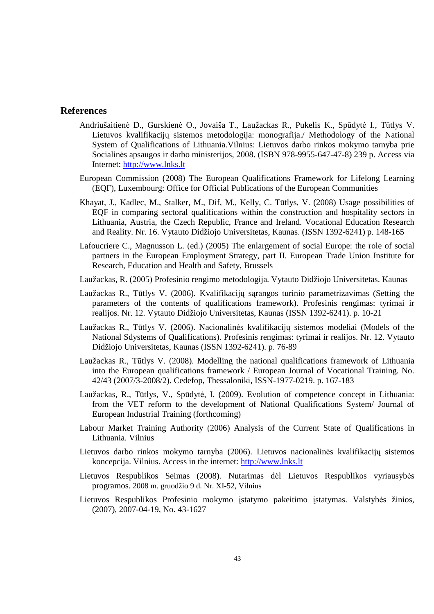# **References**

- Andriušaitienė D., Gurskienė O., Jovaiša T., Laužackas R., Pukelis K., Spūdytė I., Tūtlys V. Lietuvos kvalifikacijų sistemos metodologija: monografija./ Methodology of the National System of Qualifications of Lithuania.Vilnius: Lietuvos darbo rinkos mokymo tarnyba prie Socialinės apsaugos ir darbo ministerijos, 2008. (ISBN 978-9955-647-47-8) 239 p. Access via Internet: http://www.lnks.lt
- European Commission (2008) The European Qualifications Framework for Lifelong Learning (EQF), Luxembourg: Office for Official Publications of the European Communities
- Khayat, J., Kadlec, M., Stalker, M., Dif, M., Kelly, C. Tūtlys, V. (2008) Usage possibilities of EQF in comparing sectoral qualifications within the construction and hospitality sectors in Lithuania, Austria, the Czech Republic, France and Ireland. Vocational Education Research and Reality. Nr. 16. Vytauto Didžiojo Universitetas, Kaunas. (ISSN 1392-6241) p. 148-165
- Lafoucriere C., Magnusson L. (ed.) (2005) The enlargement of social Europe: the role of social partners in the European Employment Strategy, part II. European Trade Union Institute for Research, Education and Health and Safety, Brussels
- Laužackas, R. (2005) Profesinio rengimo metodologija. Vytauto Didžiojo Universitetas. Kaunas
- Laužackas R., Tūtlys V. (2006). Kvalifikacijų sąrangos turinio parametrizavimas (Setting the parameters of the contents of qualifications framework). Profesinis rengimas: tyrimai ir realijos. Nr. 12. Vytauto Didžiojo Universitetas, Kaunas (ISSN 1392-6241). p. 10-21
- Laužackas R., Tūtlys V. (2006). Nacionalinės kvalifikacijų sistemos modeliai (Models of the National Sdystems of Qualifications). Profesinis rengimas: tyrimai ir realijos. Nr. 12. Vytauto Didžiojo Universitetas, Kaunas (ISSN 1392-6241). p. 76-89
- Laužackas R., Tūtlys V. (2008). Modelling the national qualifications framework of Lithuania into the European qualifications framework / European Journal of Vocational Training. No. 42/43 (2007/3-2008/2). Cedefop, Thessaloniki, ISSN-1977-0219. p. 167-183
- Laužackas, R., Tūtlys, V., Spūdytė, I. (2009). Evolution of competence concept in Lithuania: from the VET reform to the development of National Qualifications System/ Journal of European Industrial Training (forthcoming)
- Labour Market Training Authority (2006) Analysis of the Current State of Qualifications in Lithuania. Vilnius
- Lietuvos darbo rinkos mokymo tarnyba (2006). Lietuvos nacionalinės kvalifikacijų sistemos koncepcija. Vilnius. Access in the internet: http://www.lnks.lt
- Lietuvos Respublikos Seimas (2008). Nutarimas dėl Lietuvos Respublikos vyriausybės programos. 2008 m. gruodžio 9 d. Nr. XI-52, Vilnius
- Lietuvos Respublikos Profesinio mokymo įstatymo pakeitimo įstatymas. Valstybės žinios, (2007), 2007-04-19, No. 43-1627